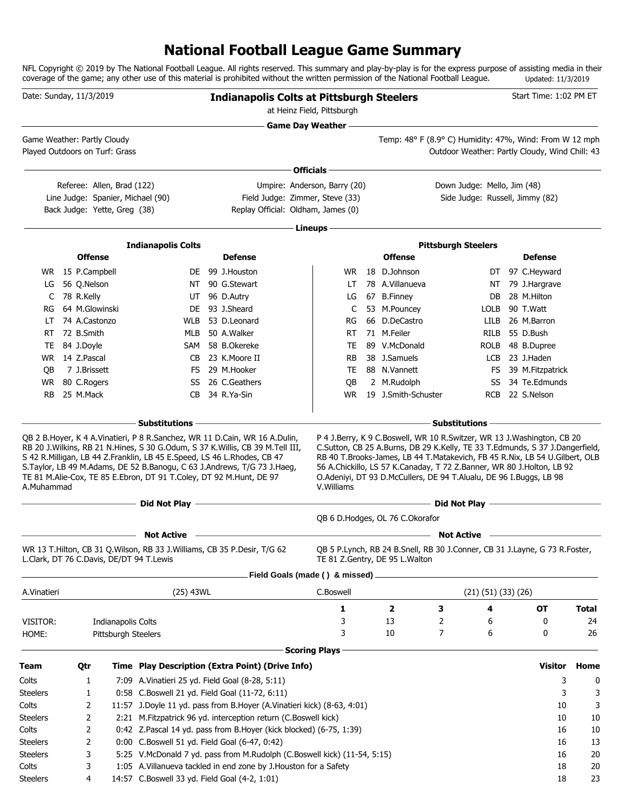# **National Football League Game Summary**

NFL Copyright © 2019 by The National Football League. All rights reserved. This summary and play-by-play is for the express purpose of assisting media in their coverage of the game; any other use of this material is prohibited without the written permission of the National Football League. Updated: 11/3/2019

| Date: Sunday, 11/3/2019        |  |                              |                     |                                                                                                                                                | <b>Indianapolis Colts at Pittsburgh Steelers</b><br>at Heinz Field, Pittsburgh                                                         |                                 | Start Time: 1:02 PM ET                                                                                                                                                                                                     |                             |                                                  |              |
|--------------------------------|--|------------------------------|---------------------|------------------------------------------------------------------------------------------------------------------------------------------------|----------------------------------------------------------------------------------------------------------------------------------------|---------------------------------|----------------------------------------------------------------------------------------------------------------------------------------------------------------------------------------------------------------------------|-----------------------------|--------------------------------------------------|--------------|
| Game Weather: Partly Cloudy    |  |                              |                     |                                                                                                                                                |                                                                                                                                        | <b>Game Day Weather --</b>      | Temp: 48° F (8.9° C) Humidity: 47%, Wind: From W 12 mph                                                                                                                                                                    |                             |                                                  |              |
| Played Outdoors on Turf: Grass |  |                              |                     |                                                                                                                                                |                                                                                                                                        |                                 |                                                                                                                                                                                                                            |                             | Outdoor Weather: Partly Cloudy, Wind Chill: 43   |              |
|                                |  |                              |                     |                                                                                                                                                |                                                                                                                                        | Officials -                     |                                                                                                                                                                                                                            |                             |                                                  |              |
|                                |  |                              |                     |                                                                                                                                                |                                                                                                                                        |                                 |                                                                                                                                                                                                                            | Down Judge: Mello, Jim (48) |                                                  |              |
|                                |  | Referee: Allen, Brad (122)   |                     | Line Judge: Spanier, Michael (90)                                                                                                              | Field Judge: Zimmer, Steve (33)                                                                                                        | Umpire: Anderson, Barry (20)    |                                                                                                                                                                                                                            |                             | Side Judge: Russell, Jimmy (82)                  |              |
|                                |  | Back Judge: Yette, Greg (38) |                     |                                                                                                                                                | Replay Official: Oldham, James (0)                                                                                                     |                                 |                                                                                                                                                                                                                            |                             |                                                  |              |
|                                |  |                              |                     |                                                                                                                                                |                                                                                                                                        |                                 |                                                                                                                                                                                                                            |                             |                                                  |              |
|                                |  |                              |                     |                                                                                                                                                |                                                                                                                                        | Lineups -                       |                                                                                                                                                                                                                            |                             |                                                  |              |
|                                |  | <b>Offense</b>               |                     | <b>Indianapolis Colts</b>                                                                                                                      | <b>Defense</b>                                                                                                                         |                                 | <b>Offense</b>                                                                                                                                                                                                             | <b>Pittsburgh Steelers</b>  | <b>Defense</b>                                   |              |
|                                |  | WR 15 P.Campbell             |                     |                                                                                                                                                | DE 99 J.Houston                                                                                                                        | WR.                             | 18 D.Johnson                                                                                                                                                                                                               |                             | 97 C.Heyward                                     |              |
| LG                             |  | 56 Q.Nelson                  |                     | NT                                                                                                                                             | 90 G.Stewart                                                                                                                           | LT                              | 78 A.Villanueva                                                                                                                                                                                                            | DT<br>NT                    | 79 J.Hargrave                                    |              |
| C                              |  | 78 R.Kelly                   |                     | UT                                                                                                                                             | 96 D.Autry                                                                                                                             | LG                              | 67 B.Finney                                                                                                                                                                                                                | DB                          | 28 M.Hilton                                      |              |
| RG                             |  | 64 M.Glowinski               |                     | DE.                                                                                                                                            | 93 J.Sheard                                                                                                                            | C                               | 53 M.Pouncey                                                                                                                                                                                                               | <b>LOLB</b>                 | 90 T.Watt                                        |              |
| LT                             |  | 74 A.Castonzo                |                     | WLB                                                                                                                                            | 53 D.Leonard                                                                                                                           | RG                              | 66 D.DeCastro                                                                                                                                                                                                              | <b>LILB</b>                 | 26 M.Barron                                      |              |
|                                |  | 72 B.Smith                   |                     | MLB                                                                                                                                            | 50 A.Walker                                                                                                                            | <b>RT</b>                       | 71 M.Feiler                                                                                                                                                                                                                |                             | 55 D.Bush                                        |              |
| RT                             |  |                              |                     |                                                                                                                                                |                                                                                                                                        |                                 |                                                                                                                                                                                                                            | RILB                        |                                                  |              |
| TE                             |  | 84 J.Doyle                   |                     |                                                                                                                                                | SAM 58 B.Okereke                                                                                                                       | TE                              | 89 V.McDonald                                                                                                                                                                                                              | <b>ROLB</b>                 | 48 B.Dupree                                      |              |
| WR.                            |  | 14 Z.Pascal                  |                     | CB                                                                                                                                             | 23 K.Moore II                                                                                                                          | RB                              | 38 J.Samuels                                                                                                                                                                                                               | LCB                         | 23 J.Haden                                       |              |
| OВ                             |  | 7 J.Brissett                 |                     | FS.                                                                                                                                            | 29 M.Hooker                                                                                                                            | TE                              | 88 N.Vannett                                                                                                                                                                                                               | FS.                         | 39 M.Fitzpatrick                                 |              |
| <b>WR</b>                      |  | 80 C.Rogers                  |                     | SS                                                                                                                                             | 26 C.Geathers                                                                                                                          | QB                              | 2 M.Rudolph                                                                                                                                                                                                                | SS                          | 34 Te.Edmunds                                    |              |
| <b>RB</b>                      |  | 25 M.Mack                    |                     | CB.                                                                                                                                            | 34 R.Ya-Sin                                                                                                                            | WR.                             | 19 J.Smith-Schuster                                                                                                                                                                                                        | <b>RCB</b>                  | 22 S.Nelson                                      |              |
|                                |  |                              |                     | – Substitutions                                                                                                                                |                                                                                                                                        |                                 |                                                                                                                                                                                                                            | <b>Substitutions</b>        |                                                  |              |
| A.Muhammad                     |  |                              |                     | S 42 R.Milligan, LB 44 Z.Franklin, LB 45 E.Speed, LS 46 L.Rhodes, CB 47<br>TE 81 M.Alie-Cox, TE 85 E.Ebron, DT 91 T.Coley, DT 92 M.Hunt, DE 97 | S. Taylor, LB 49 M. Adams, DE 52 B. Banogu, C 63 J. Andrews, T/G 73 J. Haeg,                                                           | V. Williams                     | RB 40 T.Brooks-James, LB 44 T.Matakevich, FB 45 R.Nix, LB 54 U.Gilbert, OLB<br>56 A.Chickillo, LS 57 K.Canaday, T 72 Z.Banner, WR 80 J.Holton, LB 92<br>O.Adeniyi, DT 93 D.McCullers, DE 94 T.Alualu, DE 96 I.Buggs, LB 98 |                             |                                                  |              |
|                                |  |                              |                     | Did Not Play -                                                                                                                                 | <u> 1980 - Johann Barn, fransk politik (f. 1980)</u>                                                                                   |                                 |                                                                                                                                                                                                                            | Did Not Play -              | the control of the control of the control of the |              |
|                                |  |                              |                     |                                                                                                                                                |                                                                                                                                        |                                 | OB 6 D.Hodges, OL 76 C.Okorafor                                                                                                                                                                                            |                             |                                                  |              |
|                                |  |                              |                     | <b>Not Active</b>                                                                                                                              |                                                                                                                                        |                                 |                                                                                                                                                                                                                            | <b>Not Active</b>           |                                                  |              |
|                                |  |                              |                     | WR 13 T.Hilton, CB 31 Q.Wilson, RB 33 J.Williams, CB 35 P.Desir, T/G 62<br>L.Clark, DT 76 C.Davis, DE/DT 94 T.Lewis                            |                                                                                                                                        |                                 | QB 5 P.Lynch, RB 24 B.Snell, RB 30 J.Conner, CB 31 J.Layne, G 73 R.Foster,<br>TE 81 Z.Gentry, DE 95 L.Walton                                                                                                               |                             |                                                  |              |
|                                |  |                              |                     |                                                                                                                                                |                                                                                                                                        | Field Goals (made () & missed). |                                                                                                                                                                                                                            |                             |                                                  |              |
| A.Vinatieri                    |  |                              |                     | (25) 43WL                                                                                                                                      |                                                                                                                                        | C.Boswell                       |                                                                                                                                                                                                                            | (21) (51) (33) (26)         |                                                  |              |
|                                |  |                              |                     |                                                                                                                                                |                                                                                                                                        | 1                               | 2<br>3                                                                                                                                                                                                                     | 4                           | ОT                                               | <b>Total</b> |
| VISITOR:                       |  |                              | Indianapolis Colts  |                                                                                                                                                |                                                                                                                                        | 3                               | 13<br>2                                                                                                                                                                                                                    | 6                           | 0                                                | 24           |
| HOME:                          |  |                              | Pittsburgh Steelers |                                                                                                                                                |                                                                                                                                        | 3                               | 7<br>10                                                                                                                                                                                                                    | 6                           | 0                                                | 26           |
|                                |  |                              |                     |                                                                                                                                                |                                                                                                                                        | <b>Scoring Plays</b>            |                                                                                                                                                                                                                            |                             |                                                  |              |
| <b>Team</b>                    |  | Qtr                          |                     |                                                                                                                                                | Time Play Description (Extra Point) (Drive Info)                                                                                       |                                 |                                                                                                                                                                                                                            |                             | <b>Visitor</b>                                   | Home         |
| Colts                          |  | 1                            |                     | 7:09 A. Vinatieri 25 yd. Field Goal (8-28, 5:11)                                                                                               |                                                                                                                                        |                                 |                                                                                                                                                                                                                            |                             | 3                                                | 0            |
|                                |  |                              |                     |                                                                                                                                                |                                                                                                                                        |                                 |                                                                                                                                                                                                                            |                             | 3                                                |              |
| <b>Steelers</b><br>Colts       |  | 1<br>2                       |                     |                                                                                                                                                | 0:58 C.Boswell 21 yd. Field Goal (11-72, 6:11)<br>11:57 J.Doyle 11 yd. pass from B.Hoyer (A.Vinatieri kick) (8-63, 4:01)               |                                 |                                                                                                                                                                                                                            |                             | 10                                               | 3<br>3       |
| <b>Steelers</b>                |  |                              |                     |                                                                                                                                                |                                                                                                                                        |                                 |                                                                                                                                                                                                                            |                             | 10                                               | 10           |
| Colts                          |  | 2<br>2                       |                     |                                                                                                                                                | 2:21 M. Fitzpatrick 96 yd. interception return (C. Boswell kick)<br>0:42 Z.Pascal 14 yd. pass from B.Hoyer (kick blocked) (6-75, 1:39) |                                 |                                                                                                                                                                                                                            |                             | 16                                               | 10           |
| <b>Steelers</b>                |  | 2                            |                     | 0:00 C.Boswell 51 yd. Field Goal (6-47, 0:42)                                                                                                  |                                                                                                                                        |                                 |                                                                                                                                                                                                                            |                             | 16                                               | 13           |
| <b>Steelers</b>                |  | 3                            |                     |                                                                                                                                                | 5:25 V.McDonald 7 yd. pass from M.Rudolph (C.Boswell kick) (11-54, 5:15)                                                               |                                 |                                                                                                                                                                                                                            |                             | 16                                               | 20           |
| Colts                          |  | 3                            |                     |                                                                                                                                                | 1:05 A.Villanueva tackled in end zone by J.Houston for a Safety                                                                        |                                 |                                                                                                                                                                                                                            |                             | 18                                               | 20           |
| <b>Steelers</b>                |  | 4                            |                     | 14:57 C.Boswell 33 yd. Field Goal (4-2, 1:01)                                                                                                  |                                                                                                                                        |                                 |                                                                                                                                                                                                                            |                             | 18                                               | 23           |
|                                |  |                              |                     |                                                                                                                                                |                                                                                                                                        |                                 |                                                                                                                                                                                                                            |                             |                                                  |              |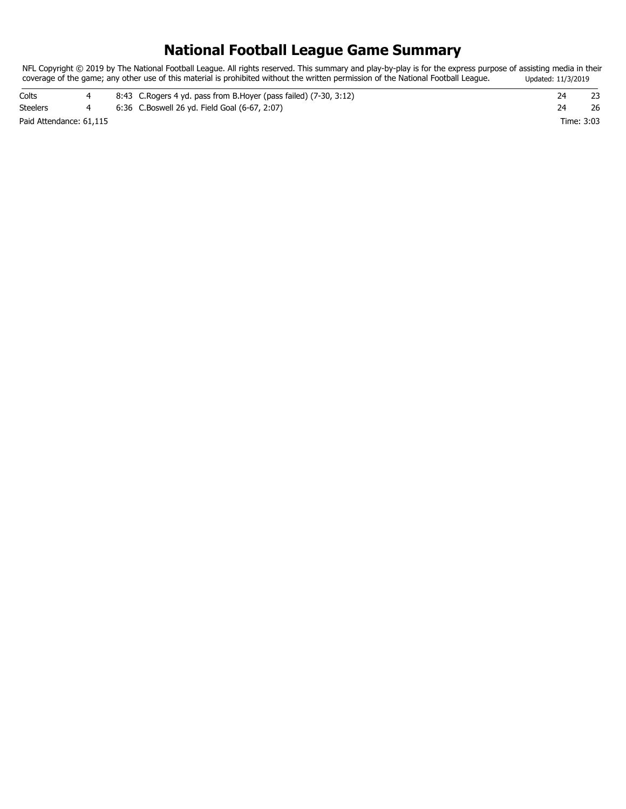## **National Football League Game Summary**

NFL Copyright © 2019 by The National Football League. All rights reserved. This summary and play-by-play is for the express purpose of assisting media in their coverage of the game; any other use of this material is prohibited without the written permission of the National Football League. Updated: 11/3/2019

| Colts                   |  | 8:43 C. Rogers 4 yd. pass from B. Hoyer (pass failed) (7-30, 3:12) |            |    |
|-------------------------|--|--------------------------------------------------------------------|------------|----|
| <b>Steelers</b>         |  | 6:36 C.Boswell 26 yd. Field Goal (6-67, 2:07)                      |            | 26 |
| Paid Attendance: 61.115 |  |                                                                    | Time: 3:03 |    |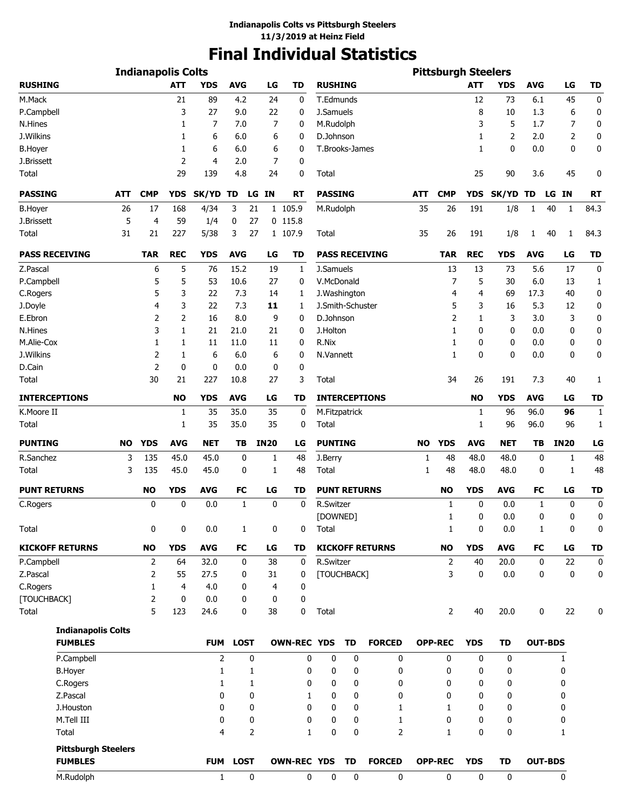# **Final Individual Statistics**

| <b>Indianapolis Colts</b>                    |           |                      |            |                |              |                |             |                    |                        | <b>Pittsburgh Steelers</b> |                        |           |                |              |             |                  |                |                  |
|----------------------------------------------|-----------|----------------------|------------|----------------|--------------|----------------|-------------|--------------------|------------------------|----------------------------|------------------------|-----------|----------------|--------------|-------------|------------------|----------------|------------------|
| <b>RUSHING</b>                               |           |                      | <b>ATT</b> | YDS            | <b>AVG</b>   |                | LG          | TD                 | <b>RUSHING</b>         |                            |                        |           |                | ATT          | <b>YDS</b>  | <b>AVG</b>       | LG             | <b>TD</b>        |
| M.Mack                                       |           |                      | 21         | 89             | 4.2          |                | 24          | 0                  | T.Edmunds              |                            |                        |           |                | 12           | 73          | 6.1              | 45             | 0                |
| P.Campbell                                   |           |                      | 3          | 27             | 9.0          |                | 22          | 0                  | J.Samuels              |                            |                        |           |                | 8            | 10          | 1.3              |                | 6<br>0           |
| N.Hines                                      |           |                      | 1          | 7              | 7.0          |                | 7           | 0                  | M.Rudolph              |                            |                        |           |                | 3            | 5           | 1.7              |                | 7<br>0           |
| J.Wilkins                                    |           |                      | 1          | 6              | 6.0          |                | 6           | 0                  | D.Johnson              |                            |                        |           |                | 1            | 2           | 2.0              |                | 2<br>0           |
| <b>B.Hoyer</b>                               |           |                      | 1          | 6              | 6.0          |                | 6           | 0                  | T.Brooks-James         |                            |                        |           |                | 1            | 0           | 0.0              |                | $\mathbf 0$<br>0 |
| J.Brissett                                   |           |                      | 2          | 4              | 2.0          |                | 7           | 0                  |                        |                            |                        |           |                |              |             |                  |                |                  |
| Total                                        |           |                      | 29         | 139            | 4.8          |                | 24          | 0                  | Total                  |                            |                        |           |                | 25           | 90          | 3.6              | 45             | 0                |
| <b>PASSING</b>                               | ATT       | <b>CMP</b>           | <b>YDS</b> | SK/YD          | TD           | LG             | IN          | <b>RT</b>          | <b>PASSING</b>         |                            |                        | ATT       | <b>CMP</b>     | <b>YDS</b>   | SK/YD TD    |                  | LG IN          | <b>RT</b>        |
| <b>B.Hoyer</b>                               | 26        | 17                   | 168        | 4/34           | 3            | 21             |             | 1 105.9            | M.Rudolph              |                            |                        | 35        | 26             | 191          | 1/8         | 1                | 40<br>1        | 84.3             |
| J.Brissett                                   | 5         | 4                    | 59         | 1/4            | 0            | 27             |             | $0$ 115.8          |                        |                            |                        |           |                |              |             |                  |                |                  |
| Total                                        | 31        | 21                   | 227        | 5/38           | 3            | 27             |             | 1 107.9            | Total                  |                            |                        | 35        | 26             | 191          | 1/8         | 1                | 40<br>1        | 84.3             |
| <b>PASS RECEIVING</b>                        |           | <b>TAR</b>           | <b>REC</b> | <b>YDS</b>     | <b>AVG</b>   |                | LG          | <b>TD</b>          |                        |                            | <b>PASS RECEIVING</b>  |           | <b>TAR</b>     | <b>REC</b>   | <b>YDS</b>  | <b>AVG</b>       | LG             | <b>TD</b>        |
| Z.Pascal                                     |           | 6                    | 5          | 76             | 15.2         |                | 19          | 1                  | J.Samuels              |                            |                        |           | 13             | 13           | 73          | 5.6              | 17             | 0                |
| P.Campbell                                   |           | 5                    | 5          | 53             | 10.6         |                | 27          | 0                  | V.McDonald             |                            |                        |           | 7              | 5            | 30          | 6.0              | 13             | 1                |
| C.Rogers                                     |           | 5                    | 3          | 22             | 7.3          |                | 14          | 1                  | J. Washington          |                            |                        |           | 4              | 4            | 69          | 17.3             | 40             | 0                |
| J.Doyle                                      |           | 4                    | 3          | 22             | 7.3          |                | 11          | 1                  | J.Smith-Schuster       |                            |                        |           | 5              | 3            | 16          | 5.3              | 12             | 0                |
| E.Ebron                                      |           | 2                    | 2          | 16             | 8.0          |                | 9           | 0                  | D.Johnson              |                            |                        |           | 2              | 1            | 3           | 3.0              |                | 3<br>0           |
| N.Hines                                      |           | 3                    | 1          | 21             | 21.0         |                | 21          | 0                  | J.Holton               |                            |                        |           | 1              | 0            | 0           | 0.0              |                | 0<br>0           |
| M.Alie-Cox                                   |           | $\mathbf{1}$         | 1          | 11             | 11.0         |                | 11          | 0                  | R.Nix                  |                            |                        |           | 1              | 0            | 0           | 0.0              |                | 0<br>0           |
|                                              |           |                      |            |                |              |                |             |                    |                        |                            |                        |           |                |              |             |                  |                |                  |
| J.Wilkins                                    |           | 2                    | 1          | 6              | 6.0          |                | 6           | 0                  | N.Vannett              |                            |                        |           | 1              | 0            | 0           | 0.0              |                | 0<br>0           |
| D.Cain<br>Total                              |           | $\overline{2}$<br>30 | 0<br>21    | 0<br>227       | 0.0<br>10.8  |                | 0<br>27     | 0<br>3             | Total                  |                            |                        |           | 34             | 26           | 191         | 7.3              | 40             | 1                |
| <b>INTERCEPTIONS</b>                         |           |                      | <b>NO</b>  | <b>YDS</b>     | <b>AVG</b>   |                | LG          | <b>TD</b>          |                        |                            | <b>INTERCEPTIONS</b>   |           |                | <b>NO</b>    | <b>YDS</b>  | <b>AVG</b>       | LG             |                  |
|                                              |           |                      |            |                |              |                |             |                    |                        |                            |                        |           |                |              |             |                  |                | <b>TD</b>        |
| K.Moore II<br>Total                          |           |                      | 1<br>1     | 35<br>35       | 35.0<br>35.0 |                | 35<br>35    | 0<br>0             | M.Fitzpatrick<br>Total |                            |                        |           |                | 1<br>1       | 96<br>96    | 96.0<br>96.0     | 96<br>96       | 1<br>1           |
| <b>PUNTING</b>                               | <b>NO</b> | <b>YDS</b>           | <b>AVG</b> | <b>NET</b>     | TВ           |                | <b>IN20</b> | LG                 | <b>PUNTING</b>         |                            |                        | <b>NO</b> | <b>YDS</b>     | <b>AVG</b>   | <b>NET</b>  | TВ               | <b>IN20</b>    | LG               |
| R.Sanchez                                    | 3         | 135                  | 45.0       | 45.0           | 0            |                | 1           | 48                 | J.Berry                |                            |                        | 1         | 48             | 48.0         | 48.0        | 0                |                | 48<br>1          |
| Total                                        | 3         | 135                  | 45.0       | 45.0           | 0            |                | 1           | 48                 | Total                  |                            |                        | 1         | 48             | 48.0         | 48.0        | 0                |                | 1<br>48          |
| <b>PUNT RETURNS</b>                          |           | <b>NO</b>            | <b>YDS</b> | <b>AVG</b>     | FC           |                | LG          | TD                 | <b>PUNT RETURNS</b>    |                            |                        |           | <b>NO</b>      | <b>YDS</b>   | <b>AVG</b>  | FC               | LG             | <b>TD</b>        |
| C.Rogers                                     |           | 0                    | 0          | 0.0            | 1            |                | 0           | 0                  | R.Switzer              |                            |                        |           | 1              | $\mathbf{0}$ | 0.0         | 1                |                | 0<br>$\mathbf 0$ |
|                                              |           |                      |            |                |              |                |             |                    | [DOWNED]               |                            |                        |           | 1              | 0            | 0.0         | 0                |                | 0<br>0           |
| Total                                        |           | 0                    | 0          | 0.0            | $\mathbf{1}$ |                | 0           | 0                  | Total                  |                            |                        |           | $\mathbf{1}$   | 0            | 0.0         | 1                |                | 0<br>0           |
| <b>KICKOFF RETURNS</b>                       |           | <b>NO</b>            | <b>YDS</b> | <b>AVG</b>     | <b>FC</b>    |                | LG          | <b>TD</b>          |                        |                            | <b>KICKOFF RETURNS</b> |           | <b>NO</b>      | <b>YDS</b>   | <b>AVG</b>  | FC               | LG             | <b>TD</b>        |
| P.Campbell                                   |           | 2                    | 64         | 32.0           | 0            |                | 38          | 0                  | R.Switzer              |                            |                        |           | 2              | 40           | 20.0        | $\boldsymbol{0}$ | 22             | 0                |
| Z.Pascal                                     |           | 2                    | 55         | 27.5           | 0            |                | 31          | 0                  | [TOUCHBACK]            |                            |                        |           | 3              | $\mathbf 0$  | 0.0         | 0                |                | 0<br>0           |
| C.Rogers                                     |           | 1                    | 4          | 4.0            | 0            |                | 4           | 0                  |                        |                            |                        |           |                |              |             |                  |                |                  |
| [TOUCHBACK]<br>Total                         |           | $\overline{2}$<br>5  | 0<br>123   | 0.0<br>24.6    | 0<br>0       |                | 0<br>38     | 0<br>0             | Total                  |                            |                        |           | 2              | 40           | 20.0        | 0                | 22             | 0                |
|                                              |           |                      |            |                |              |                |             |                    |                        |                            |                        |           |                |              |             |                  |                |                  |
| <b>Indianapolis Colts</b><br><b>FUMBLES</b>  |           |                      |            | <b>FUM</b>     | <b>LOST</b>  |                |             | <b>OWN-REC YDS</b> |                        | <b>TD</b>                  | <b>FORCED</b>          |           | <b>OPP-REC</b> | <b>YDS</b>   | <b>TD</b>   |                  | <b>OUT-BDS</b> |                  |
| P.Campbell                                   |           |                      |            | $\overline{2}$ |              | 0              |             | 0                  | 0                      | $\mathbf 0$                | 0                      |           | 0              | $\mathbf 0$  | 0           |                  | $\mathbf{1}$   |                  |
| <b>B.Hoyer</b>                               |           |                      |            | $\mathbf{1}$   |              | 1              |             | 0                  | 0                      | 0                          | 0                      |           | 0              | 0            | $\mathbf 0$ |                  | 0              |                  |
|                                              |           |                      |            |                |              |                |             |                    |                        |                            |                        |           |                | $\mathbf 0$  |             |                  |                |                  |
| C.Rogers                                     |           |                      |            | $\mathbf{1}$   |              | 1              |             | 0                  | 0                      | 0                          | 0                      |           | 0              |              | 0           |                  | 0              |                  |
| Z.Pascal                                     |           |                      |            | 0              |              | 0              |             | 1                  | 0                      | 0                          | 0                      |           | 0              | $\mathbf 0$  | 0           |                  | 0              |                  |
| J.Houston                                    |           |                      |            | 0              |              | 0              |             | 0                  | $\mathbf 0$            | 0                          | 1                      |           | $\mathbf{1}$   | $\mathbf 0$  | 0           |                  | 0              |                  |
| M.Tell III                                   |           |                      |            | 0              |              | 0              |             | 0                  | 0                      | $\mathbf 0$                | 1                      |           | 0              | $\mathbf 0$  | 0           |                  | 0              |                  |
| Total                                        |           |                      |            | 4              |              | $\overline{2}$ |             | $\mathbf{1}$       | $\bf{0}$               | 0                          | $\overline{2}$         |           | $\mathbf{1}$   | $\mathbf 0$  | 0           |                  | 1              |                  |
| <b>Pittsburgh Steelers</b><br><b>FUMBLES</b> |           |                      |            | <b>FUM</b>     | <b>LOST</b>  |                |             | <b>OWN-REC YDS</b> |                        | TD                         | <b>FORCED</b>          |           | <b>OPP-REC</b> | <b>YDS</b>   | <b>TD</b>   |                  | <b>OUT-BDS</b> |                  |
|                                              |           |                      |            |                |              |                |             |                    |                        |                            |                        |           |                |              |             |                  |                |                  |
| M.Rudolph                                    |           |                      |            | 1              |              | 0              |             | 0                  | 0                      | 0                          | 0                      |           | $\mathbf 0$    | $\mathbf 0$  | $\mathbf 0$ |                  | 0              |                  |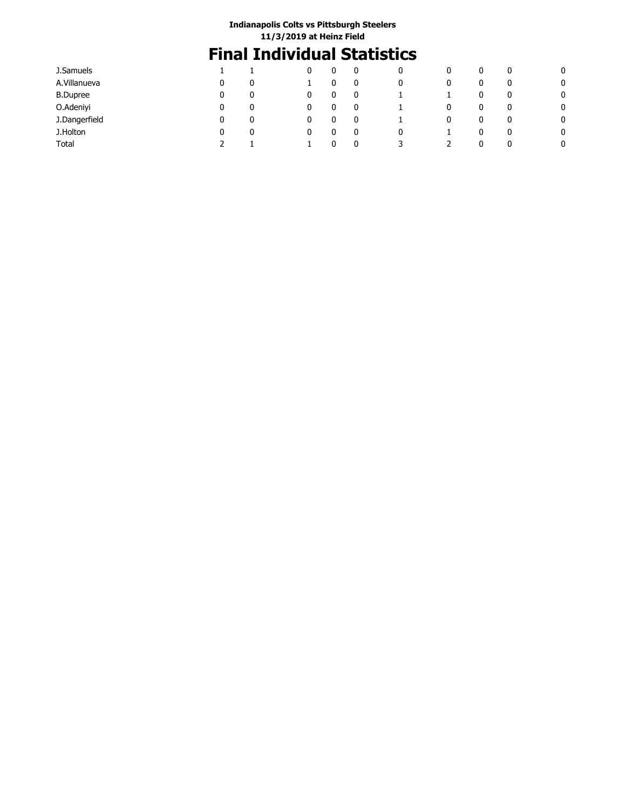# **Final Individual Statistics**

| J.Samuels       |   |  | 0 | 0 | 0 | υ | 0 |   |
|-----------------|---|--|---|---|---|---|---|---|
| A.Villanueva    |   |  | 0 | 0 | 0 | 0 | 0 | 0 |
| <b>B.Dupree</b> | 0 |  | 0 |   |   | 0 | 0 | 0 |
| O.Adeniyi       | 0 |  | 0 |   | 0 | 0 | 0 | 0 |
| J.Dangerfield   |   |  | 0 |   | 0 | 0 | 0 | 0 |
| J.Holton        | 0 |  | 0 | 0 |   | 0 | 0 | 0 |
| Total           |   |  | 0 | 3 |   |   | 0 | 0 |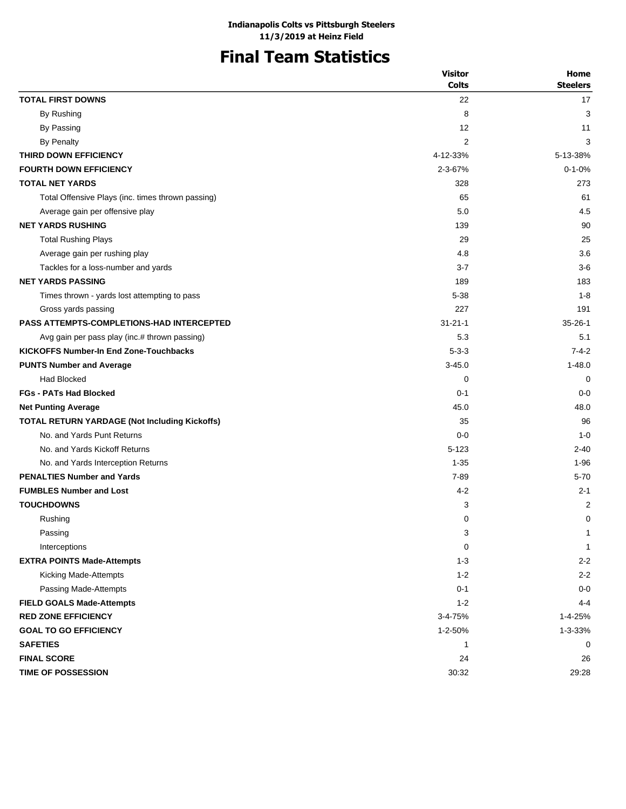# **Final Team Statistics**

|                                                   | <b>Visitor</b> | Home            |
|---------------------------------------------------|----------------|-----------------|
|                                                   | <b>Colts</b>   | <b>Steelers</b> |
| <b>TOTAL FIRST DOWNS</b>                          | 22             | 17              |
| By Rushing                                        | 8              | 3               |
| By Passing                                        | 12             | 11              |
| <b>By Penalty</b>                                 | 2              | 3               |
| THIRD DOWN EFFICIENCY                             | 4-12-33%       | 5-13-38%        |
| <b>FOURTH DOWN EFFICIENCY</b>                     | 2-3-67%        | $0 - 1 - 0%$    |
| <b>TOTAL NET YARDS</b>                            | 328            | 273             |
| Total Offensive Plays (inc. times thrown passing) | 65             | 61              |
| Average gain per offensive play                   | 5.0            | 4.5             |
| <b>NET YARDS RUSHING</b>                          | 139            | 90              |
| <b>Total Rushing Plays</b>                        | 29             | 25              |
| Average gain per rushing play                     | 4.8            | 3.6             |
| Tackles for a loss-number and yards               | $3 - 7$        | $3-6$           |
| <b>NET YARDS PASSING</b>                          | 189            | 183             |
| Times thrown - yards lost attempting to pass      | 5-38           | $1 - 8$         |
| Gross yards passing                               | 227            | 191             |
| <b>PASS ATTEMPTS-COMPLETIONS-HAD INTERCEPTED</b>  | $31 - 21 - 1$  | $35 - 26 - 1$   |
| Avg gain per pass play (inc.# thrown passing)     | 5.3            | 5.1             |
| <b>KICKOFFS Number-In End Zone-Touchbacks</b>     | $5 - 3 - 3$    | $7 - 4 - 2$     |
| <b>PUNTS Number and Average</b>                   | $3 - 45.0$     | $1 - 48.0$      |
| Had Blocked                                       | 0              | 0               |
| <b>FGs - PATs Had Blocked</b>                     | $0 - 1$        | $0 - 0$         |
| <b>Net Punting Average</b>                        | 45.0           | 48.0            |
| TOTAL RETURN YARDAGE (Not Including Kickoffs)     | 35             | 96              |
| No. and Yards Punt Returns                        | $0 - 0$        | $1 - 0$         |
| No. and Yards Kickoff Returns                     | $5 - 123$      | $2 - 40$        |
| No. and Yards Interception Returns                | $1 - 35$       | $1 - 96$        |
| <b>PENALTIES Number and Yards</b>                 | $7 - 89$       | $5 - 70$        |
| <b>FUMBLES Number and Lost</b>                    | $4 - 2$        | $2 - 1$         |
| <b>TOUCHDOWNS</b>                                 | 3              | 2               |
| Rushing                                           | 0              | 0               |
| Passing                                           | 3              | $\mathbf{1}$    |
| Interceptions                                     | $\mathbf 0$    | 1               |
| <b>EXTRA POINTS Made-Attempts</b>                 | $1 - 3$        | $2 - 2$         |
| Kicking Made-Attempts                             | $1 - 2$        | $2 - 2$         |
| Passing Made-Attempts                             | $0 - 1$        | $0-0$           |
| <b>FIELD GOALS Made-Attempts</b>                  | $1 - 2$        | $4 - 4$         |
| <b>RED ZONE EFFICIENCY</b>                        | 3-4-75%        | 1-4-25%         |
| <b>GOAL TO GO EFFICIENCY</b>                      | 1-2-50%        | 1-3-33%         |
| <b>SAFETIES</b>                                   | 1              | 0               |
| <b>FINAL SCORE</b>                                | 24             | 26              |
| <b>TIME OF POSSESSION</b>                         | 30:32          | 29:28           |
|                                                   |                |                 |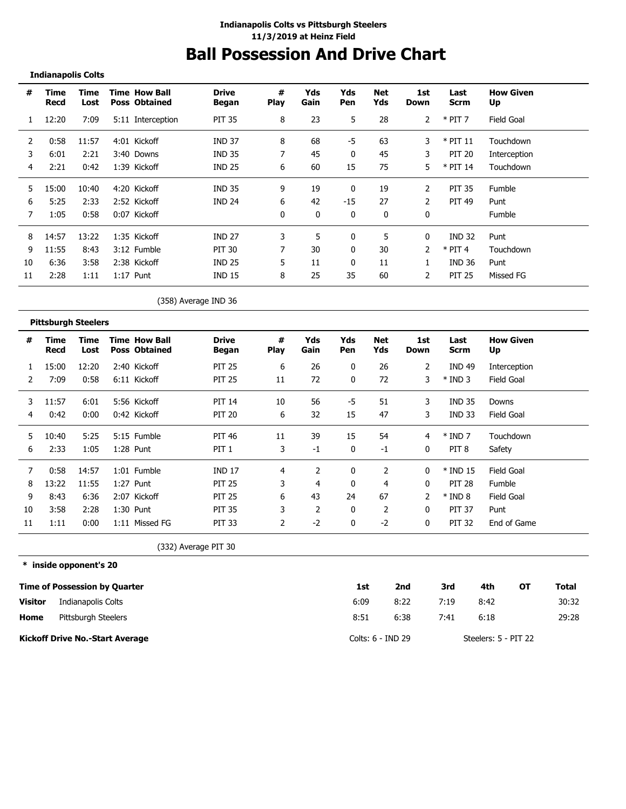## **Ball Possession And Drive Chart**

**Indianapolis Colts**

| #  | <b>Time</b><br>Recd        | <b>Time</b><br>Lost | <b>Time How Ball</b><br><b>Poss Obtained</b> | <b>Drive</b><br><b>Began</b> | #<br>Play        | Yds<br>Gain | Yds<br>Pen | <b>Net</b><br>Yds | 1st<br><b>Down</b> | Last<br><b>Scrm</b> | <b>How Given</b><br>Up |  |
|----|----------------------------|---------------------|----------------------------------------------|------------------------------|------------------|-------------|------------|-------------------|--------------------|---------------------|------------------------|--|
| 1  | 12:20                      | 7:09                | 5:11 Interception                            | <b>PIT 35</b>                | 8                | 23          | 5          | 28                | $\overline{2}$     | $*$ PIT 7           | Field Goal             |  |
| 2  | 0:58                       | 11:57               | 4:01 Kickoff                                 | <b>IND 37</b>                | 8                | 68          | -5         | 63                | 3                  | $*$ PIT 11          | Touchdown              |  |
| 3  | 6:01                       | 2:21                | 3:40 Downs                                   | <b>IND 35</b>                | 7                | 45          | 0          | 45                | 3                  | <b>PIT 20</b>       | Interception           |  |
| 4  | 2:21                       | 0:42                | 1:39 Kickoff                                 | <b>IND 25</b>                | 6                | 60          | 15         | 75                | 5.                 | * PIT 14            | Touchdown              |  |
| 5  | 15:00                      | 10:40               | 4:20 Kickoff                                 | <b>IND 35</b>                | 9                | 19          | 0          | 19                | $\overline{2}$     | <b>PIT 35</b>       | Fumble                 |  |
| 6  | 5:25                       | 2:33                | 2:52 Kickoff                                 | <b>IND 24</b>                | 6                | 42          | $-15$      | 27                | $\overline{2}$     | <b>PIT 49</b>       | Punt                   |  |
| 7  | 1:05                       | 0:58                | 0:07 Kickoff                                 |                              | 0                | 0           | 0          | 0                 | 0                  |                     | Fumble                 |  |
| 8  | 14:57                      | 13:22               | 1:35 Kickoff                                 | <b>IND 27</b>                | 3                | 5           | 0          | 5                 | 0                  | <b>IND 32</b>       | Punt                   |  |
| 9  | 11:55                      | 8:43                | 3:12 Fumble                                  | <b>PIT 30</b>                | 7                | 30          | 0          | 30                | 2                  | $*$ PIT 4           | Touchdown              |  |
| 10 | 6:36                       | 3:58                | 2:38 Kickoff                                 | <b>IND 25</b>                | 5                | 11          | 0          | 11                | 1                  | <b>IND 36</b>       | Punt                   |  |
| 11 | 2:28                       | 1:11                | $1:17$ Punt                                  | <b>IND 15</b>                | 8                | 25          | 35         | 60                | 2                  | <b>PIT 25</b>       | Missed FG              |  |
|    |                            |                     |                                              | (358) Average IND 36         |                  |             |            |                   |                    |                     |                        |  |
|    | <b>Pittsburgh Steelers</b> |                     |                                              |                              |                  |             |            |                   |                    |                     |                        |  |
| #  | <b>Time</b><br><b>Recd</b> | Time<br>Lost        | <b>Time How Ball</b><br><b>Poss Obtained</b> | <b>Drive</b><br><b>Began</b> | #<br><b>Play</b> | Yds<br>Gain | Yds<br>Pen | <b>Net</b><br>Yds | 1st<br><b>Down</b> | Last<br><b>Scrm</b> | <b>How Given</b><br>Up |  |
|    | 15:00                      | 12:20               | 2:40 Kickoff                                 | <b>PIT 25</b>                | 6                | 26          | 0          | 26                | 2                  | <b>IND 49</b>       | Interception           |  |
| 2  | 7:09                       | 0:58                | 6:11 Kickoff                                 | <b>PIT 25</b>                | 11               | 72          | 0          | 72                | 3                  | $*$ IND 3           | Field Goal             |  |
| 3  | 11:57                      | 6:01                | 5:56 Kickoff                                 | <b>PIT 14</b>                | 10               | 56          | $-5$       | 51                | 3                  | <b>IND 35</b>       | Downs                  |  |

4 0:42 0:00 0:42 Kickoff PIT 20 6 32 15 47 3 IND 33 Field Goal

5 10:40 5:25 5:15 Fumble PIT 46 11 39 15 54 4 \* IND 7 Touchdown 6 2:33 1:05 1:28 Punt PIT 1 3 -1 0 -1 0 PIT 8 Safety

 0:58 14:57 1:01 Fumble IND 17 4 2 0 2 0 \* IND 15 Field Goal 13:22 11:55 1:27 Punt PIT 25 3 4 0 4 0 PIT 28 Fumble 8:43 6:36 2:07 Kickoff PIT 25 6 43 24 67 2 \* IND 8 Field Goal 3:58 2:28 1:30 Punt PIT 35 3 2 0 2 0 PIT 37 Punt 1:11 0:00 1:11 Missed FG PIT 33 2 -2 0 -2 0 PIT 32 End of Game

(332) Average PIT 30

**\* inside opponent's 20**

|                | <b>Time of Possession by Quarter</b>   | 1st               | 2nd  | 3rd  | 4th                  | OТ | Total |
|----------------|----------------------------------------|-------------------|------|------|----------------------|----|-------|
| <b>Visitor</b> | Indianapolis Colts                     | 6:09              | 8:22 | 7:19 | 8:42                 |    | 30:32 |
| Home           | Pittsburgh Steelers                    | 8:51              | 6:38 | 7:41 | 6:18                 |    | 29:28 |
|                | <b>Kickoff Drive No.-Start Average</b> | Colts: 6 - IND 29 |      |      | Steelers: 5 - PIT 22 |    |       |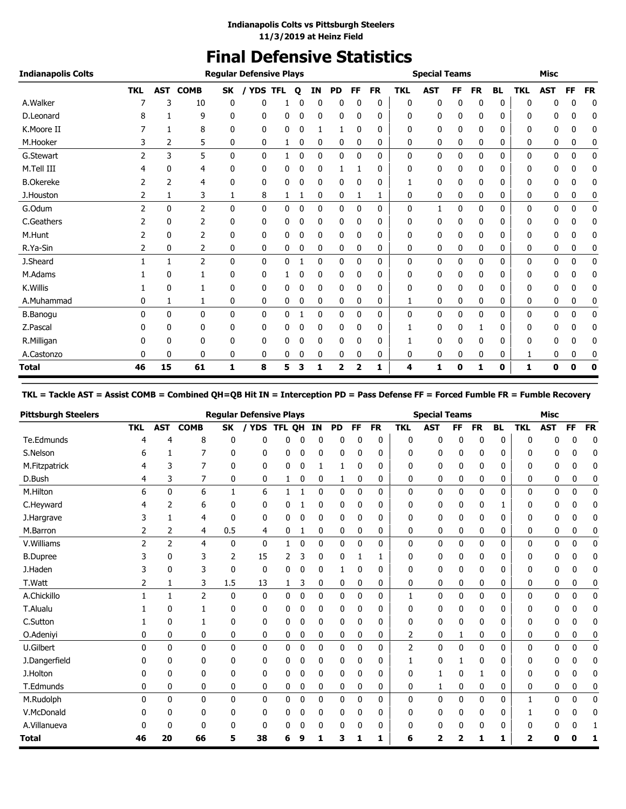# **Final Defensive Statistics**

| <b>Indianapolis Colts</b> |                |    |                 |              | <b>Regular Defensive Plays</b> |            |   |           |           |              |           |            | <b>Special Teams</b> |    |           |              |            | <b>Misc</b>  |    |           |
|---------------------------|----------------|----|-----------------|--------------|--------------------------------|------------|---|-----------|-----------|--------------|-----------|------------|----------------------|----|-----------|--------------|------------|--------------|----|-----------|
|                           | <b>TKL</b>     |    | <b>AST COMB</b> | SK           | / YDS                          | <b>TFL</b> | o | <b>IN</b> | <b>PD</b> | FF           | <b>FR</b> | <b>TKL</b> | <b>AST</b>           | FF | <b>FR</b> | <b>BL</b>    | <b>TKL</b> | <b>AST</b>   | FF | <b>FR</b> |
| A.Walker                  |                | 3  | 10              | 0            | 0                              |            | 0 | 0         | 0         | 0            | 0         | 0          | 0                    | 0  | 0         | 0            | 0          | n            | 0  | 0         |
| D.Leonard                 |                |    | 9               | 0            | 0                              | 0          | 0 | 0         | 0         | 0            | 0         | 0          | 0                    | 0  | 0         | 0            | 0          | 0            | 0  | 0         |
| K.Moore II                |                | 1  | 8               | $\Omega$     | 0                              | 0          | 0 | 1         | 1         | $\mathbf{0}$ | 0         | 0          | 0                    | 0  | 0         | 0            | 0          | 0            | 0  | 0         |
| M.Hooker                  | 3              | 2  | 5               | 0            | 0                              | 1          | 0 | 0         | 0         | 0            | 0         | 0          | 0                    | 0  | 0         | 0            | 0          | 0            | 0  | 0         |
| G.Stewart                 | 2              | 3  | 5               | $\mathbf{0}$ | $\mathbf{0}$                   | 1          | 0 | 0         | 0         | 0            | 0         | 0          | 0                    | 0  | 0         | $\mathbf{0}$ | 0          | 0            | 0  | 0         |
| M.Tell III                | 4              | 0  | 4               | 0            | 0                              | 0          | 0 | 0         | 1         |              | 0         | 0          | 0                    | 0  | 0         | 0            | 0          | 0            | 0  | 0         |
| <b>B.Okereke</b>          |                | 2  | 4               | 0            | 0                              | 0          | 0 | 0         | 0         | 0            | 0         | 1          | 0                    | 0  | 0         | 0            | 0          | 0            | 0  | 0         |
| J.Houston                 | 2              | 1  | 3               | 1            | 8                              | 1          | 1 | 0         | 0         |              | 1         | 0          | 0                    | 0  | 0         | 0            | 0          | 0            | 0  | 0         |
| G.Odum                    | $\overline{2}$ | 0  | $\overline{2}$  | $\mathbf{0}$ | $\mathbf{0}$                   | 0          | 0 | 0         | 0         | $\mathbf{0}$ | 0         | 0          | 1                    | 0  | 0         | 0            | 0          | 0            | 0  | 0         |
| C.Geathers                |                | 0  | 2               | 0            | 0                              | 0          | 0 | 0         | 0         | 0            | 0         | 0          | 0                    | 0  | 0         | 0            | 0          | 0            | 0  | 0         |
| M.Hunt                    | 2              | 0  | 2               | 0            | 0                              | 0          | 0 | 0         | 0         | 0            | 0         | 0          | 0                    | 0  | 0         | 0            | 0          | 0            | 0  | 0         |
| R.Ya-Sin                  | 2              | 0  | 2               | 0            | 0                              | 0          | 0 | 0         | 0         | 0            | 0         | 0          | 0                    | 0  | 0         | 0            | 0          | 0            | 0  | 0         |
| J.Sheard                  |                | 1  | $\overline{2}$  | $\mathbf{0}$ | $\mathbf{0}$                   | 0          |   | 0         | 0         | $\mathbf{0}$ | 0         | 0          | 0                    | 0  | 0         | 0            | 0          | $\mathbf{0}$ | 0  | 0         |
| M.Adams                   |                | 0  |                 | 0            | 0                              |            | 0 | 0         | 0         | 0            | 0         | 0          | 0                    | 0  | 0         | 0            | 0          | 0            | 0  | 0         |
| K.Willis                  |                | 0  |                 | 0            | 0                              | 0          | 0 | 0         | 0         | $\mathbf{0}$ | 0         | 0          | 0                    | 0  | 0         | 0            | 0          | 0            | 0  | 0         |
| A.Muhammad                | 0              | 1  | 1               | 0            | 0                              | 0          | 0 | 0         | 0         | 0            | 0         | 1          | 0                    | 0  | 0         | 0            | 0          | 0            | 0  | 0         |
| <b>B.Banogu</b>           | $\Omega$       | 0  | $\mathbf{0}$    | $\mathbf{0}$ | 0                              | 0          | 1 | 0         | 0         | $\mathbf{0}$ | 0         | 0          | 0                    | 0  | 0         | 0            | 0          | 0            | 0  | 0         |
| Z.Pascal                  | 0              | 0  | 0               | 0            | 0                              | 0          | 0 | 0         | 0         | 0            | 0         |            | 0                    | 0  |           | 0            | 0          | 0            | 0  | 0         |
| R.Milligan                |                | 0  | 0               | 0            | 0                              | 0          |   | 0         | 0         | 0            | 0         |            | 0                    | 0  | 0         | 0            | 0          | 0            | 0  | 0         |
| A.Castonzo                | 0              | 0  | 0               | 0            | 0                              | 0          | 0 | 0         | 0         | 0            | 0         | 0          | 0                    | 0  | 0         | 0            | 1          | 0            | 0  | 0         |
| <b>Total</b>              | 46             | 15 | 61              | 1            | 8                              | 5          | 3 | 1         | 2         | 2            | 1         | 4          | 1                    | 0  | 1         | 0            | 1          | 0            | 0  | 0         |

## **TKL = Tackle AST = Assist COMB = Combined QH=QB Hit IN = Interception PD = Pass Defense FF = Forced Fumble FR = Fumble Recovery**

| <b>Pittsburgh Steelers</b> |            |                |                |              | <b>Reqular Defensive Plays</b> |            |   |    |           |           |           |                | <b>Special Teams</b> |           |              |              |              | <b>Misc</b>  |              |              |
|----------------------------|------------|----------------|----------------|--------------|--------------------------------|------------|---|----|-----------|-----------|-----------|----------------|----------------------|-----------|--------------|--------------|--------------|--------------|--------------|--------------|
|                            | <b>TKL</b> | <b>AST</b>     | <b>COMB</b>    | <b>SK</b>    |                                | YDS TFL OH |   | IN | <b>PD</b> | <b>FF</b> | <b>FR</b> | <b>TKL</b>     | <b>AST</b>           | <b>FF</b> | <b>FR</b>    | <b>BL</b>    | <b>TKL</b>   | <b>AST</b>   | <b>FF</b>    | <b>FR</b>    |
| Te.Edmunds                 |            | 4              | 8              | 0            | U                              | 0          | 0 | 0  | 0         | 0         | 0         | 0              | 0                    | 0         | 0            | 0            | 0            |              | ſ            | $\mathbf 0$  |
| S.Nelson                   | 6          | 1              | 7              | 0            | 0                              | 0          | 0 | 0  | 0         | 0         | 0         | 0              | 0                    | 0         | 0            | 0            | 0            | U            | ŋ            | 0            |
| M.Fitzpatrick              |            | 3              | 7              | $\mathbf{0}$ | 0                              | 0          | 0 | 1  | 1         | 0         | 0         | 0              | 0                    | 0         | 0            | 0            | 0            | 0            | 0            | 0            |
| D.Bush                     | 4          | 3              | 7              | 0            | 0                              |            | 0 | 0  | 1         | 0         | 0         | 0              | 0                    | 0         | 0            | 0            | 0            | 0            | 0            | 0            |
| M.Hilton                   | 6          | 0              | 6              | 1            | 6                              | 1          | 1 | 0  | 0         | 0         | 0         | 0              | 0                    | 0         | 0            | 0            | 0            | 0            | 0            | $\mathbf{0}$ |
| C.Heyward                  |            | 2              | 6              | 0            | 0                              | 0          |   | 0  | 0         | 0         | 0         | 0              | 0                    | 0         | 0            | 1            | 0            | 0            | 0            | 0            |
| J.Hargrave                 | 3          |                | 4              | 0            | 0                              | 0          | 0 | 0  | 0         | 0         | 0         | 0              | 0                    | 0         | 0            | 0            | 0            | 0            | 0            | 0            |
| M.Barron                   | 2          | 2              | 4              | 0.5          | 4                              | 0          | 1 | 0  | 0         | 0         | 0         | 0              | 0                    | 0         | 0            | 0            | 0            | 0            | 0            | 0            |
| V. Williams                | 2          | $\overline{2}$ | 4              | $\mathbf{0}$ | 0                              | 1          | 0 | 0  | 0         | 0         | 0         | 0              | 0                    | 0         | $\mathbf{0}$ | $\mathbf{0}$ | 0            | $\mathbf{0}$ | $\mathbf{0}$ | $\mathbf{0}$ |
| <b>B.Dupree</b>            |            | 0              | 3              | 2            | 15                             | 2          | 3 | 0  | 0         |           |           | 0              | 0                    | 0         | 0            | 0            | 0            | 0            |              | 0            |
| J.Haden                    |            | 0              | 3              | 0            | $\mathbf 0$                    | 0          | 0 | 0  |           | 0         | 0         | 0              | 0                    | 0         | 0            | 0            | 0            | 0            | 0            | 0            |
| T.Watt                     | 2          | 1              | 3              | 1.5          | 13                             | 1          | 3 | 0  | 0         | 0         | 0         | 0              | 0                    | 0         | 0            | 0            | 0            | 0            | 0            | 0            |
| A.Chickillo                |            | 1              | $\overline{2}$ | $\mathbf{0}$ | $\mathbf 0$                    | 0          | 0 | 0  | 0         | 0         | 0         | 1              | 0                    | 0         | 0            | 0            | 0            | 0            | 0            | 0            |
| T.Alualu                   |            | 0              |                | 0            | 0                              | 0          | 0 | 0  | 0         | 0         | 0         | 0              | 0                    | 0         | 0            | 0            | 0            | 0            |              | 0            |
| C.Sutton                   |            | 0              | 1              | 0            | 0                              | 0          | 0 | 0  | 0         | 0         | 0         | 0              | 0                    | 0         | 0            | 0            | 0            | 0            | 0            | 0            |
| O.Adeniyi                  | 0          | 0              | 0              | 0            | 0                              | 0          | 0 | 0  | 0         | 0         | 0         | 2              | 0                    | 1         | 0            | 0            | 0            | 0            | 0            | 0            |
| U.Gilbert                  | $\Omega$   | 0              | 0              | $\mathbf{0}$ | 0                              | 0          | 0 | 0  | 0         | 0         | 0         | $\overline{2}$ | 0                    | 0         | 0            | 0            | 0            | 0            | 0            | 0            |
| J.Dangerfield              |            | 0              | 0              | 0            | 0                              | 0          | 0 | 0  | 0         | 0         | 0         | 1              | 0                    |           | 0            | 0            | 0            | 0            | 0            | 0            |
| J.Holton                   | 0          | 0              | 0              | 0            | 0                              | 0          | 0 | 0  | 0         | 0         | 0         | 0              |                      | 0         |              | 0            | 0            | 0            | 0            | 0            |
| T.Edmunds                  | 0          | 0              | 0              | 0            | 0                              | 0          | 0 | 0  | 0         | 0         | 0         | 0              | 1                    | 0         | 0            | 0            | 0            | 0            | 0            | 0            |
| M.Rudolph                  | 0          | 0              | $\mathbf{0}$   | $\mathbf{0}$ | 0                              | 0          | 0 | 0  | 0         | 0         | 0         | 0              | 0                    | 0         | $\mathbf{0}$ | 0            | $\mathbf{1}$ | $\mathbf{0}$ | $\mathbf{0}$ | 0            |
| V.McDonald                 |            | 0              | 0              | 0            | 0                              | 0          | 0 | 0  | 0         | 0         | 0         | 0              | 0                    | 0         | 0            | 0            |              | 0            |              | 0            |
| A.Villanueva               |            | 0              | 0              | 0            | 0                              | 0          | 0 | 0  | 0         | 0         | 0         | 0              | 0                    | 0         | 0            | 0            | 0            |              | 0            |              |
| Total                      | 46         | 20             | 66             | 5            | 38                             | 6          | g |    | 3         | 1         | 1         | 6              | 2                    | 2         | 1            | 1            | 2            | o            |              |              |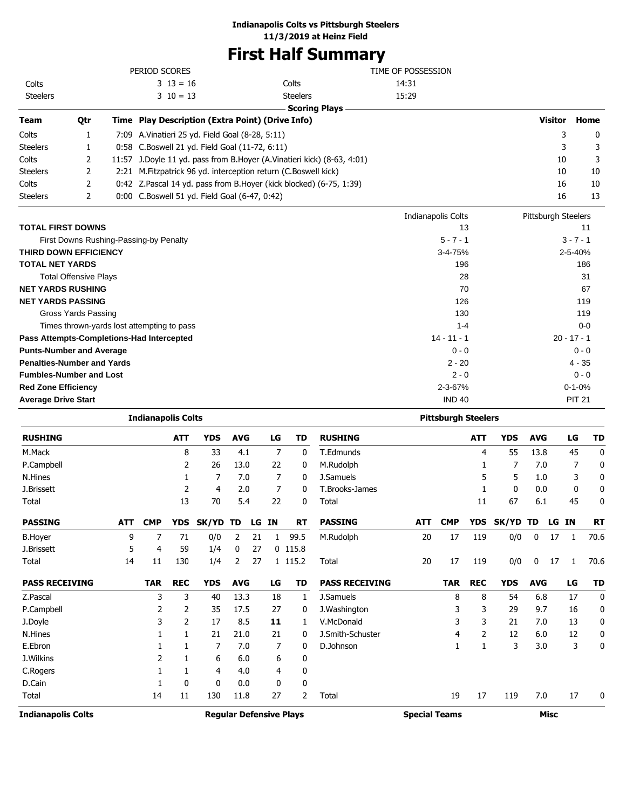## **Indianapolis Colts vs Pittsburgh Steelers**

**11/3/2019 at Heinz Field**

# **First Half Summary**

|                              |     |                                                                    | PERIOD SCORES                                                          | TIME OF POSSESSION   |                    |                     |             |
|------------------------------|-----|--------------------------------------------------------------------|------------------------------------------------------------------------|----------------------|--------------------|---------------------|-------------|
| Colts                        |     |                                                                    | $3 \t13 = 16$                                                          | Colts                | 14:31              |                     |             |
| <b>Steelers</b>              |     |                                                                    | $3 \t10 = 13$                                                          | <b>Steelers</b>      | 15:29              |                     |             |
|                              |     |                                                                    |                                                                        | <b>Scoring Plays</b> |                    |                     |             |
| <b>Team</b>                  | Qtr |                                                                    | Time Play Description (Extra Point) (Drive Info)                       |                      |                    | Visitor             | Home        |
| Colts                        |     |                                                                    | 7:09 A.Vinatieri 25 yd. Field Goal (8-28, 5:11)                        |                      |                    | 3                   | 0           |
| <b>Steelers</b>              |     |                                                                    | 0:58 C.Boswell 21 yd. Field Goal (11-72, 6:11)                         |                      |                    | 3                   | 3           |
| Colts                        | 2   |                                                                    | 11:57 J.Doyle 11 yd. pass from B.Hoyer (A.Vinatieri kick) (8-63, 4:01) |                      | 10                 | 3                   |             |
| <b>Steelers</b>              | 2   | 2:21                                                               |                                                                        | 10                   | 10                 |                     |             |
| Colts                        | 2   | 0:42 Z.Pascal 14 yd. pass from B.Hoyer (kick blocked) (6-75, 1:39) |                                                                        | 16                   | 10                 |                     |             |
| <b>Steelers</b>              | 2   |                                                                    | 0:00 C.Boswell 51 yd. Field Goal (6-47, 0:42)                          |                      |                    | 16                  | 13          |
|                              |     |                                                                    |                                                                        |                      | Indianapolis Colts | Pittsburgh Steelers |             |
| <b>TOTAL FIRST DOWNS</b>     |     |                                                                    |                                                                        | 13                   |                    | 11                  |             |
|                              |     |                                                                    | First Downs Rushing-Passing-by Penalty                                 |                      | $5 - 7 - 1$        |                     | $3 - 7 - 1$ |
| <b>THIRD DOWN EFFICIENCY</b> |     |                                                                    |                                                                        |                      | $3 - 4 - 75%$      |                     | 2-5-40%     |
| <b>TOTAL NET YARDS</b>       |     |                                                                    |                                                                        |                      | 196                |                     | 186         |
| Total Offensive Plays        | 28  | 31                                                                 |                                                                        |                      |                    |                     |             |

| Total Offensive Plays                      | 28            | 31            |
|--------------------------------------------|---------------|---------------|
| <b>NET YARDS RUSHING</b>                   | 70            | 67            |
| <b>NET YARDS PASSING</b>                   | 126           | 119           |
| Gross Yards Passing                        | 130           | 119           |
| Times thrown-yards lost attempting to pass | $1 - 4$       | $0-0$         |
| Pass Attempts-Completions-Had Intercepted  | $14 - 11 - 1$ | $20 - 17 - 1$ |
| <b>Punts-Number and Average</b>            | $0 - 0$       | $0 - 0$       |
| <b>Penalties-Number and Yards</b>          | $2 - 20$      | $4 - 35$      |
| <b>Fumbles-Number and Lost</b>             | $2 - 0$       | $0 - 0$       |
| <b>Red Zone Efficiency</b>                 | $2 - 3 - 67%$ | $0 - 1 - 0%$  |
| <b>Average Drive Start</b>                 | <b>IND 40</b> | <b>PIT 21</b> |

|                           |            | <b>Indianapolis Colts</b> |            |              |                |    |    |                                | <b>Pittsburgh Steelers</b> |                      |            |            |            |            |             |    |           |  |
|---------------------------|------------|---------------------------|------------|--------------|----------------|----|----|--------------------------------|----------------------------|----------------------|------------|------------|------------|------------|-------------|----|-----------|--|
| <b>RUSHING</b>            |            |                           | <b>ATT</b> | <b>YDS</b>   | <b>AVG</b>     |    | LG | TD                             | <b>RUSHING</b>             |                      |            | <b>ATT</b> | <b>YDS</b> | <b>AVG</b> |             | LG | <b>TD</b> |  |
| M.Mack                    |            |                           | 8          | 33           | 4.1            |    | 7  | 0                              | T.Edmunds                  |                      |            | 4          | 55         | 13.8       |             | 45 | 0         |  |
| P.Campbell                |            |                           | 2          | 26           | 13.0           |    | 22 | 0                              | M.Rudolph                  |                      |            |            | 7          | 7.0        |             |    | 0         |  |
| N.Hines                   |            |                           |            | 7            | 7.0            |    | 7  | 0                              | J.Samuels                  |                      |            | 5          | 5          | 1.0        |             | 3  | 0         |  |
| J.Brissett                |            |                           | 2          | 4            | 2.0            |    | 7  | 0                              | T.Brooks-James             |                      |            |            | 0          | 0.0        |             | 0  | 0         |  |
| Total                     |            |                           | 13         | 70           | 5.4            |    | 22 | 0                              | Total                      |                      |            | 11         | 67         | 6.1        |             | 45 | 0         |  |
| <b>PASSING</b>            | <b>ATT</b> | <b>CMP</b>                | <b>YDS</b> | SK/YD TD     |                | LG | ΙN | <b>RT</b>                      | <b>PASSING</b>             | <b>ATT</b>           | <b>CMP</b> | <b>YDS</b> | SK/YD      | TD         | LG IN       |    | <b>RT</b> |  |
| <b>B.Hoyer</b>            | 9          | 7                         | 71         | 0/0          | $\overline{2}$ | 21 | 1  | 99.5                           | M.Rudolph                  | 20                   | 17         | 119        | 0/0        | 0          | 17          | 1  | 70.6      |  |
| J.Brissett                | 5          | 4                         | 59         | 1/4          | 0              | 27 |    | $0$ 115.8                      |                            |                      |            |            |            |            |             |    |           |  |
| Total                     | 14         | 11                        | 130        | 1/4          | 2              | 27 |    | 1 115.2                        | Total                      | 20                   | 17         | 119        | 0/0        | 0          | 17          | 1  | 70.6      |  |
| <b>PASS RECEIVING</b>     |            | <b>TAR</b>                | <b>REC</b> | <b>YDS</b>   | <b>AVG</b>     |    | LG | TD                             | <b>PASS RECEIVING</b>      |                      | <b>TAR</b> | <b>REC</b> | <b>YDS</b> | <b>AVG</b> |             | LG | <b>TD</b> |  |
| Z.Pascal                  |            | 3                         | 3          | 40           | 13.3           |    | 18 | 1                              | J.Samuels                  |                      | 8          | 8          | 54         | 6.8        |             | 17 | 0         |  |
| P.Campbell                |            | 2                         | 2          | 35           | 17.5           |    | 27 | 0                              | J. Washington              |                      | 3          | 3          | 29         | 9.7        |             | 16 | 0         |  |
| J.Doyle                   |            | 3                         | 2          | 17           | 8.5            |    | 11 | 1                              | V.McDonald                 |                      | 3          | 3          | 21         | 7.0        |             | 13 | 0         |  |
| N.Hines                   |            |                           |            | 21           | 21.0           |    | 21 | 0                              | J.Smith-Schuster           |                      | 4          | 2          | 12         | 6.0        |             | 12 | 0         |  |
| E.Ebron                   |            |                           |            | 7            | 7.0            |    | 7  | 0                              | D.Johnson                  |                      | 1          | 1          | 3          | 3.0        |             | 3  | 0         |  |
| J.Wilkins                 |            | 2                         |            | 6            | 6.0            |    | 6  | 0                              |                            |                      |            |            |            |            |             |    |           |  |
| C.Rogers                  |            |                           |            | 4            | 4.0            |    | 4  | 0                              |                            |                      |            |            |            |            |             |    |           |  |
| D.Cain                    |            |                           | 0          | $\mathbf{0}$ | 0.0            |    | 0  | 0                              |                            |                      |            |            |            |            |             |    |           |  |
| Total                     |            | 14                        | 11         | 130          | 11.8           |    | 27 | 2                              | Total                      |                      | 19         | 17         | 119        | 7.0        |             | 17 | 0         |  |
| <b>Indianapolis Colts</b> |            |                           |            |              |                |    |    | <b>Regular Defensive Plays</b> |                            | <b>Special Teams</b> |            |            |            |            | <b>Misc</b> |    |           |  |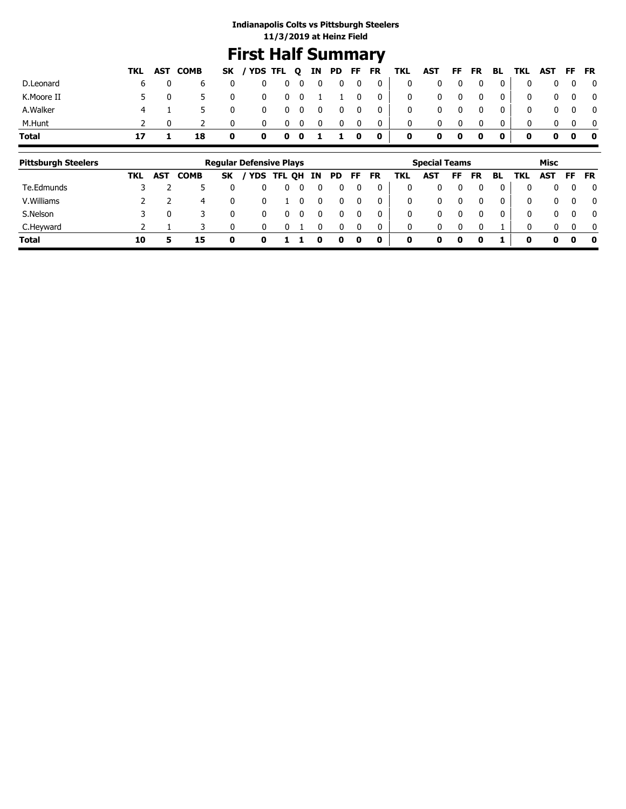## **First Half Summary**

|              |    |     | TKL AST COMB |          | SK / YDS TFL Q IN PD FF FR TKL AST FF FR BL TKL AST FF FR |                    |            |                          |                           |                         |                         |              |             |              |              |              |              |              |   |                         |
|--------------|----|-----|--------------|----------|-----------------------------------------------------------|--------------------|------------|--------------------------|---------------------------|-------------------------|-------------------------|--------------|-------------|--------------|--------------|--------------|--------------|--------------|---|-------------------------|
| D.Leonard    |    | 6 — | b            | 0        |                                                           | $0\qquad 0\quad 0$ |            | $\overline{\phantom{0}}$ | 0                         | $\overline{\mathbf{0}}$ | $\overline{0}$          | $\mathbf{0}$ |             | 0            | $\mathbf{0}$ | $\mathbf{0}$ | 0            | $\mathbf{0}$ |   | $\overline{\mathbf{0}}$ |
| K.Moore II   |    | 5.  |              | 0        | $\mathbf 0$                                               |                    | $0\quad 0$ |                          | 1 1 0                     |                         | $\overline{\mathbf{0}}$ | $\bf{0}$     |             | $\mathbf{0}$ | $\mathbf{0}$ | $\mathbf{0}$ | 0            | $\mathbf{0}$ |   | $\overline{\mathbf{0}}$ |
| A.Walker     |    | 4 1 |              | 0        | $\bf{0}$                                                  |                    | $0\quad 0$ | $\mathbf{0}$             | $\overline{\mathbf{0}}$   | $\mathbf{0}$            | $\overline{\mathbf{0}}$ | 0            |             | - 0          | $\mathbf{0}$ | $\mathbf{0}$ | 0            | $\mathbf{0}$ |   | $\overline{\mathbf{0}}$ |
| M.Hunt       |    |     |              | $\Omega$ | 0                                                         | $\mathbf{0}$       | - 0        | 0                        | 0                         | 0                       | $\mathbf 0$             | $\mathbf{0}$ |             |              | $\Omega$     | $\Omega$     | $\Omega$     |              |   |                         |
| <b>Total</b> | 17 |     | 18           | 0        | 0                                                         |                    | $0\quad 0$ |                          | $\mathbf{1}$ $\mathbf{1}$ | 0                       | $\mathbf{0}$            | $\mathbf 0$  | $\mathbf 0$ | 0            | $\bf{0}$     | $\mathbf{0}$ | $\mathbf{0}$ | 0            | 0 | $\bullet$               |

| <b>Pittsburgh Steelers</b> |     |            |             |           | <b>Regular Defensive Plays</b> |      |    |     |           |    |           |     | <b>Special Teams</b> |    |           |    |            | Misc       |          |              |
|----------------------------|-----|------------|-------------|-----------|--------------------------------|------|----|-----|-----------|----|-----------|-----|----------------------|----|-----------|----|------------|------------|----------|--------------|
|                            | TKL | <b>AST</b> | <b>COMB</b> | <b>SK</b> | <b>YDS</b>                     | TFL. | OH | IN. | <b>PD</b> | FF | <b>FR</b> | TKL | <b>AST</b>           | FF | <b>FR</b> | BL | <b>TKL</b> | <b>AST</b> | FF       | FR           |
| Te.Edmunds                 |     |            |             |           |                                |      |    |     |           | 0  |           | 0   |                      |    |           |    | 0          | 0          | 0        | $\mathbf{0}$ |
| V. Williams                |     |            | 4           | 0         |                                |      |    |     |           | 0  |           | 0   | 0                    |    |           | 0  | 0          | 0          | 0        | $\mathbf{0}$ |
| S.Nelson                   |     |            |             |           |                                |      |    |     |           |    |           | 0   | 0                    |    |           |    | 0          | 0          | $\Omega$ | $\mathbf{0}$ |
| C.Heyward                  |     |            |             |           |                                |      |    |     |           |    |           | 0   | 0                    |    |           |    | 0          | 0          | $\Omega$ | $\mathbf{0}$ |
| <b>Total</b>               | 10  |            | 15          |           |                                |      |    |     | o         | 0  | 0         | 0   | 0                    | 0  | 0         |    | 0          | 0          | o        | 0            |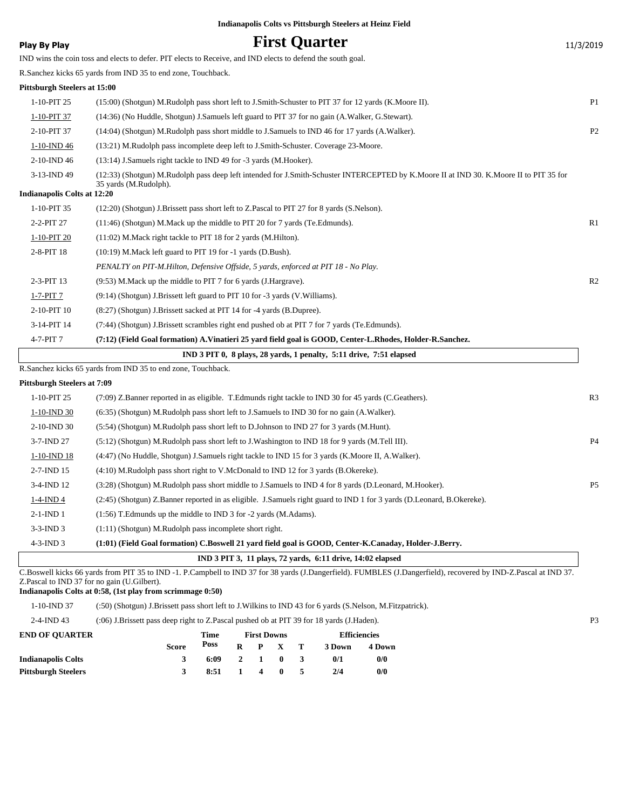| <b>Play By Play</b>                | <b>First Quarter</b>                                                                                                                                            | 11/3/2019      |
|------------------------------------|-----------------------------------------------------------------------------------------------------------------------------------------------------------------|----------------|
|                                    | IND wins the coin toss and elects to defer. PIT elects to Receive, and IND elects to defend the south goal.                                                     |                |
|                                    | R.Sanchez kicks 65 yards from IND 35 to end zone, Touchback.                                                                                                    |                |
| Pittsburgh Steelers at 15:00       |                                                                                                                                                                 |                |
| 1-10-PIT 25                        | (15:00) (Shotgun) M.Rudolph pass short left to J.Smith-Schuster to PIT 37 for 12 yards (K.Moore II).                                                            | P1             |
| 1-10-PIT 37                        | (14:36) (No Huddle, Shotgun) J.Samuels left guard to PIT 37 for no gain (A.Walker, G.Stewart).                                                                  |                |
| 2-10-PIT 37                        | (14:04) (Shotgun) M.Rudolph pass short middle to J.Samuels to IND 46 for 17 yards (A.Walker).                                                                   | P <sub>2</sub> |
| 1-10-IND 46                        | (13:21) M.Rudolph pass incomplete deep left to J.Smith-Schuster. Coverage 23-Moore.                                                                             |                |
| 2-10-IND 46                        | (13:14) J.Samuels right tackle to IND 49 for -3 yards (M.Hooker).                                                                                               |                |
| 3-13-IND 49                        | (12:33) (Shotgun) M.Rudolph pass deep left intended for J.Smith-Schuster INTERCEPTED by K.Moore II at IND 30. K.Moore II to PIT 35 for<br>35 yards (M.Rudolph). |                |
| <b>Indianapolis Colts at 12:20</b> |                                                                                                                                                                 |                |
| 1-10-PIT 35                        | (12:20) (Shotgun) J.Brissett pass short left to Z.Pascal to PIT 27 for 8 yards (S.Nelson).                                                                      |                |
| 2-2-PIT 27                         | (11:46) (Shotgun) M.Mack up the middle to PIT 20 for 7 yards (Te. Edmunds).                                                                                     | R1             |
| 1-10-PIT 20                        | (11:02) M. Mack right tackle to PIT 18 for 2 yards (M. Hilton).                                                                                                 |                |
| 2-8-PIT 18                         | (10:19) M.Mack left guard to PIT 19 for -1 yards (D.Bush).                                                                                                      |                |
|                                    | PENALTY on PIT-M.Hilton, Defensive Offside, 5 yards, enforced at PIT 18 - No Play.                                                                              |                |
| 2-3-PIT 13                         | (9:53) M.Mack up the middle to PIT 7 for 6 yards (J.Hargrave).                                                                                                  | R <sub>2</sub> |
| $1-7-PIT$ 7                        | (9:14) (Shotgun) J.Brissett left guard to PIT 10 for -3 yards (V.Williams).                                                                                     |                |
| 2-10-PIT 10                        | (8:27) (Shotgun) J.Brissett sacked at PIT 14 for -4 yards (B.Dupree).                                                                                           |                |
| 3-14-PIT 14                        | (7:44) (Shotgun) J.Brissett scrambles right end pushed ob at PIT 7 for 7 yards (Te.Edmunds).                                                                    |                |
| 4-7-PIT 7                          | (7:12) (Field Goal formation) A. Vinatieri 25 yard field goal is GOOD, Center-L. Rhodes, Holder-R. Sanchez.                                                     |                |
|                                    | IND 3 PIT 0, 8 plays, 28 yards, 1 penalty, 5:11 drive, 7:51 elapsed                                                                                             |                |
|                                    | R.Sanchez kicks 65 yards from IND 35 to end zone, Touchback.                                                                                                    |                |
| <b>Pittsburgh Steelers at 7:09</b> |                                                                                                                                                                 |                |
| 1-10-PIT 25                        | (7:09) Z.Banner reported in as eligible. T.Edmunds right tackle to IND 30 for 45 yards (C.Geathers).                                                            | R <sub>3</sub> |
| $1-10$ -IND 30                     | (6:35) (Shotgun) M.Rudolph pass short left to J.Samuels to IND 30 for no gain (A.Walker).                                                                       |                |
| 2-10-IND 30                        | (5:54) (Shotgun) M.Rudolph pass short left to D.Johnson to IND 27 for 3 yards (M.Hunt).                                                                         |                |
| 3-7-IND 27                         | (5:12) (Shotgun) M.Rudolph pass short left to J.Washington to IND 18 for 9 yards (M.Tell III).                                                                  | P4             |
| 1-10-IND 18                        | (4:47) (No Huddle, Shotgun) J.Samuels right tackle to IND 15 for 3 yards (K.Moore II, A.Walker).                                                                |                |
| 2-7-IND 15                         | (4:10) M.Rudolph pass short right to V.McDonald to IND 12 for 3 yards (B.Okereke).                                                                              |                |
| 3-4-IND 12                         | (3:28) (Shotgun) M.Rudolph pass short middle to J.Samuels to IND 4 for 8 yards (D.Leonard, M.Hooker).                                                           | P <sub>5</sub> |
| $1-4$ -IND 4                       | (2:45) (Shotgun) Z.Banner reported in as eligible. J.Samuels right guard to IND 1 for 3 yards (D.Leonard, B.Okereke).                                           |                |
| $2-1-IND$ 1                        | (1:56) T.Edmunds up the middle to IND 3 for -2 yards (M.Adams).                                                                                                 |                |
| $3-3$ -IND $3$                     | $(1:11)$ (Shotgun) M.Rudolph pass incomplete short right.                                                                                                       |                |
| $4-3$ -IND $3$                     | (1:01) (Field Goal formation) C.Boswell 21 yard field goal is GOOD, Center-K.Canaday, Holder-J.Berry.                                                           |                |
|                                    | IND 3 PIT 3, 11 plays, 72 yards, 6:11 drive, 14:02 elapsed                                                                                                      |                |

C.Boswell kicks 66 yards from PIT 35 to IND -1. P.Campbell to IND 37 for 38 yards (J.Dangerfield). FUMBLES (J.Dangerfield), recovered by IND-Z.Pascal at IND 37. Z.Pascal to IND 37 for no gain (U.Gilbert).

**Indianapolis Colts at 0:58, (1st play from scrimmage 0:50)**

1-10-IND 37 (:50) (Shotgun) J.Brissett pass short left to J.Wilkins to IND 43 for 6 yards (S.Nelson, M.Fitzpatrick).

| $2-4$ -IND 43 | (:06) J.Brissett pass deep right to Z.Pascal pushed ob at PIT 39 for 18 yards (J.Haden). |  |
|---------------|------------------------------------------------------------------------------------------|--|
|               |                                                                                          |  |

| <b>END OF OUARTER</b>      |       | Time |              | <b>First Downs</b> |       | <b>Efficiencies</b> |        |  |
|----------------------------|-------|------|--------------|--------------------|-------|---------------------|--------|--|
|                            | Score | Poss | R            |                    | P X T | 3 Down              | 4 Down |  |
| <b>Indianapolis Colts</b>  |       | 6:09 |              | 2 1 0              |       | 0/1                 | 0/0    |  |
| <b>Pittsburgh Steelers</b> |       | 8:51 | $\mathbf{1}$ |                    | 40    | 2/4                 | 0/0    |  |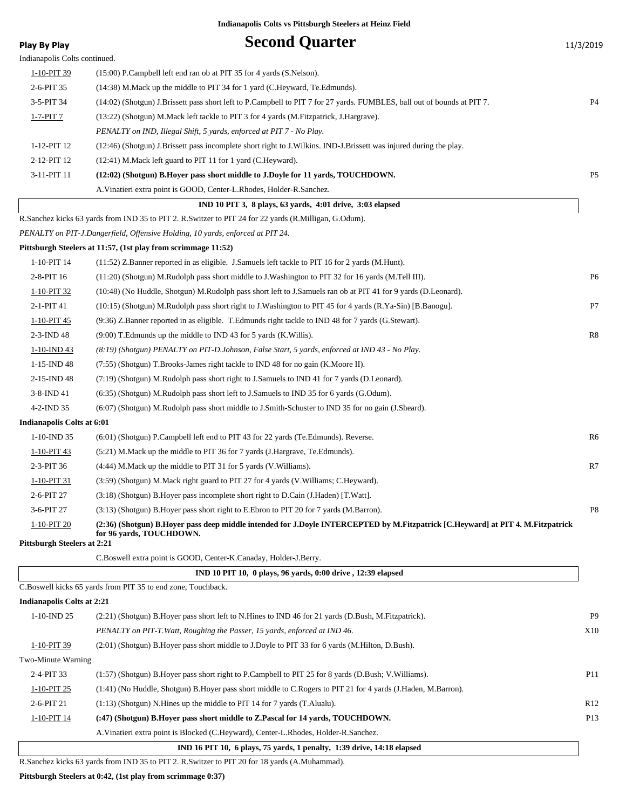| Indianapolis Colts continued.<br>1-10-PIT 39<br>(15:00) P.Campbell left end ran ob at PIT 35 for 4 yards (S.Nelson).<br>2-6-PIT 35<br>(14:38) M. Mack up the middle to PIT 34 for 1 yard (C. Heyward, Te. Edmunds).<br><b>P4</b><br>3-5-PIT 34<br>(14:02) (Shotgun) J.Brissett pass short left to P.Campbell to PIT 7 for 27 yards. FUMBLES, ball out of bounds at PIT 7.<br>1-7-PIT 7<br>(13:22) (Shotgun) M.Mack left tackle to PIT 3 for 4 yards (M.Fitzpatrick, J.Hargrave).<br>PENALTY on IND, Illegal Shift, 5 yards, enforced at PIT 7 - No Play.<br>1-12-PIT 12<br>(12:46) (Shotgun) J.Brissett pass incomplete short right to J.Wilkins. IND-J.Brissett was injured during the play.<br>2-12-PIT 12<br>(12:41) M.Mack left guard to PIT 11 for 1 yard (C.Heyward).<br>3-11-PIT 11<br>P <sub>5</sub><br>(12:02) (Shotgun) B.Hoyer pass short middle to J.Doyle for 11 yards, TOUCHDOWN.<br>A. Vinatieri extra point is GOOD, Center-L.Rhodes, Holder-R.Sanchez.<br>IND 10 PIT 3, 8 plays, 63 yards, 4:01 drive, 3:03 elapsed<br>R.Sanchez kicks 63 yards from IND 35 to PIT 2. R.Switzer to PIT 24 for 22 yards (R.Milligan, G.Odum).<br>PENALTY on PIT-J.Dangerfield, Offensive Holding, 10 yards, enforced at PIT 24.<br>Pittsburgh Steelers at 11:57, (1st play from scrimmage 11:52)<br>1-10-PIT 14<br>(11:52) Z.Banner reported in as eligible. J.Samuels left tackle to PIT 16 for 2 yards (M.Hunt).<br>2-8-PIT 16<br>(11:20) (Shotgun) M.Rudolph pass short middle to J.Washington to PIT 32 for 16 yards (M.Tell III).<br>P <sub>6</sub><br>1-10-PIT 32<br>(10:48) (No Huddle, Shotgun) M.Rudolph pass short left to J.Samuels ran ob at PIT 41 for 9 yards (D.Leonard).<br>P7<br>2-1-PIT 41<br>(10:15) (Shotgun) M.Rudolph pass short right to J.Washington to PIT 45 for 4 yards (R.Ya-Sin) [B.Banogu].<br>(9:36) Z.Banner reported in as eligible. T.Edmunds right tackle to IND 48 for 7 yards (G.Stewart).<br>1-10-PIT 45<br>2-3-IND 48<br>R8<br>$(9:00)$ T. Edmunds up the middle to IND 43 for 5 yards (K. Willis).<br>$1-10$ -IND 43<br>(8:19) (Shotgun) PENALTY on PIT-D.Johnson, False Start, 5 yards, enforced at IND 43 - No Play.<br>1-15-IND 48<br>$(7:55)$ (Shotgun) T.Brooks-James right tackle to IND 48 for no gain (K.Moore II).<br>2-15-IND 48<br>(7:19) (Shotgun) M.Rudolph pass short right to J.Samuels to IND 41 for 7 yards (D.Leonard).<br>3-8-IND 41<br>(6:35) (Shotgun) M.Rudolph pass short left to J.Samuels to IND 35 for 6 yards (G.Odum).<br>4-2-IND 35<br>(6:07) (Shotgun) M.Rudolph pass short middle to J.Smith-Schuster to IND 35 for no gain (J.Sheard).<br>Indianapolis Colts at 6:01<br>$1-10$ -IND 35<br>R6<br>(6:01) (Shotgun) P.Campbell left end to PIT 43 for 22 yards (Te.Edmunds). Reverse.<br>1-10-PIT 43<br>(5.21) M. Mack up the middle to PIT 36 for 7 yards (J. Hargrave, Te. Edmunds).<br>2-3-PIT 36<br>(4:44) M.Mack up the middle to PIT 31 for 5 yards (V.Williams).<br>R7<br>1-10-PIT 31<br>(3:59) (Shotgun) M.Mack right guard to PIT 27 for 4 yards (V.Williams; C.Heyward).<br>(3:18) (Shotgun) B.Hoyer pass incomplete short right to D.Cain (J.Haden) [T.Watt].<br>2-6-PIT 27<br>3-6-PIT 27<br>(3:13) (Shotgun) B.Hoyer pass short right to E.Ebron to PIT 20 for 7 yards (M.Barron).<br>P8<br>1-10-PIT 20<br>(2:36) (Shotgun) B.Hoyer pass deep middle intended for J.Doyle INTERCEPTED by M.Fitzpatrick [C.Heyward] at PIT 4. M.Fitzpatrick<br>for 96 yards, TOUCHDOWN.<br><b>Pittsburgh Steelers at 2:21</b><br>C.Boswell extra point is GOOD, Center-K.Canaday, Holder-J.Berry.<br>IND 10 PIT 10, 0 plays, 96 yards, 0:00 drive, 12:39 elapsed<br>C.Boswell kicks 65 yards from PIT 35 to end zone, Touchback.<br><b>Indianapolis Colts at 2:21</b><br>P <sub>9</sub><br>$1-10$ -IND 25<br>(2.21) (Shotgun) B. Hoyer pass short left to N. Hines to IND 46 for 21 yards (D. Bush, M. Fitzpatrick).<br>PENALTY on PIT-T. Watt, Roughing the Passer, 15 yards, enforced at IND 46.<br>X10<br>1-10-PIT 39<br>(2:01) (Shotgun) B.Hoyer pass short middle to J.Doyle to PIT 33 for 6 yards (M.Hilton, D.Bush).<br>Two-Minute Warning<br>2-4-PIT 33<br>P11<br>(1:57) (Shotgun) B.Hoyer pass short right to P.Campbell to PIT 25 for 8 yards (D.Bush; V.Williams).<br>(1:41) (No Huddle, Shotgun) B. Hoyer pass short middle to C. Rogers to PIT 21 for 4 yards (J. Haden, M. Barron).<br>$1-10-PIT$ 25<br>2-6-PIT 21<br>(1:13) (Shotgun) N.Hines up the middle to PIT 14 for 7 yards (T.Alualu).<br>R <sub>12</sub><br>1-10-PIT 14<br>(:47) (Shotgun) B.Hoyer pass short middle to Z.Pascal for 14 yards, TOUCHDOWN.<br>P <sub>13</sub><br>A. Vinatieri extra point is Blocked (C.Heyward), Center-L. Rhodes, Holder-R. Sanchez.<br>IND 16 PIT 10, 6 plays, 75 yards, 1 penalty, 1:39 drive, 14:18 elapsed | <b>Play By Play</b> | <b>Second Quarter</b> | 11/3/2019 |
|----------------------------------------------------------------------------------------------------------------------------------------------------------------------------------------------------------------------------------------------------------------------------------------------------------------------------------------------------------------------------------------------------------------------------------------------------------------------------------------------------------------------------------------------------------------------------------------------------------------------------------------------------------------------------------------------------------------------------------------------------------------------------------------------------------------------------------------------------------------------------------------------------------------------------------------------------------------------------------------------------------------------------------------------------------------------------------------------------------------------------------------------------------------------------------------------------------------------------------------------------------------------------------------------------------------------------------------------------------------------------------------------------------------------------------------------------------------------------------------------------------------------------------------------------------------------------------------------------------------------------------------------------------------------------------------------------------------------------------------------------------------------------------------------------------------------------------------------------------------------------------------------------------------------------------------------------------------------------------------------------------------------------------------------------------------------------------------------------------------------------------------------------------------------------------------------------------------------------------------------------------------------------------------------------------------------------------------------------------------------------------------------------------------------------------------------------------------------------------------------------------------------------------------------------------------------------------------------------------------------------------------------------------------------------------------------------------------------------------------------------------------------------------------------------------------------------------------------------------------------------------------------------------------------------------------------------------------------------------------------------------------------------------------------------------------------------------------------------------------------------------------------------------------------------------------------------------------------------------------------------------------------------------------------------------------------------------------------------------------------------------------------------------------------------------------------------------------------------------------------------------------------------------------------------------------------------------------------------------------------------------------------------------------------------------------------------------------------------------------------------------------------------------------------------------------------------------------------------------------------------------------------------------------------------------------------------------------------------------------------------------------------------------------------------------------------------------------------------------------------------------------------------------------------------------------------------------------------------------------------------------------------------------------------------------------------------------------------------------------------------------------------------------------------------------------------------------------------------------------------------------------------------------------------------------------------------------------------------------------------------------------------------------------------------------------------------------------------------------------------------------------------------------------|---------------------|-----------------------|-----------|
|                                                                                                                                                                                                                                                                                                                                                                                                                                                                                                                                                                                                                                                                                                                                                                                                                                                                                                                                                                                                                                                                                                                                                                                                                                                                                                                                                                                                                                                                                                                                                                                                                                                                                                                                                                                                                                                                                                                                                                                                                                                                                                                                                                                                                                                                                                                                                                                                                                                                                                                                                                                                                                                                                                                                                                                                                                                                                                                                                                                                                                                                                                                                                                                                                                                                                                                                                                                                                                                                                                                                                                                                                                                                                                                                                                                                                                                                                                                                                                                                                                                                                                                                                                                                                                                                                                                                                                                                                                                                                                                                                                                                                                                                                                                                                                                        |                     |                       |           |
|                                                                                                                                                                                                                                                                                                                                                                                                                                                                                                                                                                                                                                                                                                                                                                                                                                                                                                                                                                                                                                                                                                                                                                                                                                                                                                                                                                                                                                                                                                                                                                                                                                                                                                                                                                                                                                                                                                                                                                                                                                                                                                                                                                                                                                                                                                                                                                                                                                                                                                                                                                                                                                                                                                                                                                                                                                                                                                                                                                                                                                                                                                                                                                                                                                                                                                                                                                                                                                                                                                                                                                                                                                                                                                                                                                                                                                                                                                                                                                                                                                                                                                                                                                                                                                                                                                                                                                                                                                                                                                                                                                                                                                                                                                                                                                                        |                     |                       |           |
|                                                                                                                                                                                                                                                                                                                                                                                                                                                                                                                                                                                                                                                                                                                                                                                                                                                                                                                                                                                                                                                                                                                                                                                                                                                                                                                                                                                                                                                                                                                                                                                                                                                                                                                                                                                                                                                                                                                                                                                                                                                                                                                                                                                                                                                                                                                                                                                                                                                                                                                                                                                                                                                                                                                                                                                                                                                                                                                                                                                                                                                                                                                                                                                                                                                                                                                                                                                                                                                                                                                                                                                                                                                                                                                                                                                                                                                                                                                                                                                                                                                                                                                                                                                                                                                                                                                                                                                                                                                                                                                                                                                                                                                                                                                                                                                        |                     |                       |           |
|                                                                                                                                                                                                                                                                                                                                                                                                                                                                                                                                                                                                                                                                                                                                                                                                                                                                                                                                                                                                                                                                                                                                                                                                                                                                                                                                                                                                                                                                                                                                                                                                                                                                                                                                                                                                                                                                                                                                                                                                                                                                                                                                                                                                                                                                                                                                                                                                                                                                                                                                                                                                                                                                                                                                                                                                                                                                                                                                                                                                                                                                                                                                                                                                                                                                                                                                                                                                                                                                                                                                                                                                                                                                                                                                                                                                                                                                                                                                                                                                                                                                                                                                                                                                                                                                                                                                                                                                                                                                                                                                                                                                                                                                                                                                                                                        |                     |                       |           |
|                                                                                                                                                                                                                                                                                                                                                                                                                                                                                                                                                                                                                                                                                                                                                                                                                                                                                                                                                                                                                                                                                                                                                                                                                                                                                                                                                                                                                                                                                                                                                                                                                                                                                                                                                                                                                                                                                                                                                                                                                                                                                                                                                                                                                                                                                                                                                                                                                                                                                                                                                                                                                                                                                                                                                                                                                                                                                                                                                                                                                                                                                                                                                                                                                                                                                                                                                                                                                                                                                                                                                                                                                                                                                                                                                                                                                                                                                                                                                                                                                                                                                                                                                                                                                                                                                                                                                                                                                                                                                                                                                                                                                                                                                                                                                                                        |                     |                       |           |
|                                                                                                                                                                                                                                                                                                                                                                                                                                                                                                                                                                                                                                                                                                                                                                                                                                                                                                                                                                                                                                                                                                                                                                                                                                                                                                                                                                                                                                                                                                                                                                                                                                                                                                                                                                                                                                                                                                                                                                                                                                                                                                                                                                                                                                                                                                                                                                                                                                                                                                                                                                                                                                                                                                                                                                                                                                                                                                                                                                                                                                                                                                                                                                                                                                                                                                                                                                                                                                                                                                                                                                                                                                                                                                                                                                                                                                                                                                                                                                                                                                                                                                                                                                                                                                                                                                                                                                                                                                                                                                                                                                                                                                                                                                                                                                                        |                     |                       |           |
|                                                                                                                                                                                                                                                                                                                                                                                                                                                                                                                                                                                                                                                                                                                                                                                                                                                                                                                                                                                                                                                                                                                                                                                                                                                                                                                                                                                                                                                                                                                                                                                                                                                                                                                                                                                                                                                                                                                                                                                                                                                                                                                                                                                                                                                                                                                                                                                                                                                                                                                                                                                                                                                                                                                                                                                                                                                                                                                                                                                                                                                                                                                                                                                                                                                                                                                                                                                                                                                                                                                                                                                                                                                                                                                                                                                                                                                                                                                                                                                                                                                                                                                                                                                                                                                                                                                                                                                                                                                                                                                                                                                                                                                                                                                                                                                        |                     |                       |           |
|                                                                                                                                                                                                                                                                                                                                                                                                                                                                                                                                                                                                                                                                                                                                                                                                                                                                                                                                                                                                                                                                                                                                                                                                                                                                                                                                                                                                                                                                                                                                                                                                                                                                                                                                                                                                                                                                                                                                                                                                                                                                                                                                                                                                                                                                                                                                                                                                                                                                                                                                                                                                                                                                                                                                                                                                                                                                                                                                                                                                                                                                                                                                                                                                                                                                                                                                                                                                                                                                                                                                                                                                                                                                                                                                                                                                                                                                                                                                                                                                                                                                                                                                                                                                                                                                                                                                                                                                                                                                                                                                                                                                                                                                                                                                                                                        |                     |                       |           |
|                                                                                                                                                                                                                                                                                                                                                                                                                                                                                                                                                                                                                                                                                                                                                                                                                                                                                                                                                                                                                                                                                                                                                                                                                                                                                                                                                                                                                                                                                                                                                                                                                                                                                                                                                                                                                                                                                                                                                                                                                                                                                                                                                                                                                                                                                                                                                                                                                                                                                                                                                                                                                                                                                                                                                                                                                                                                                                                                                                                                                                                                                                                                                                                                                                                                                                                                                                                                                                                                                                                                                                                                                                                                                                                                                                                                                                                                                                                                                                                                                                                                                                                                                                                                                                                                                                                                                                                                                                                                                                                                                                                                                                                                                                                                                                                        |                     |                       |           |
|                                                                                                                                                                                                                                                                                                                                                                                                                                                                                                                                                                                                                                                                                                                                                                                                                                                                                                                                                                                                                                                                                                                                                                                                                                                                                                                                                                                                                                                                                                                                                                                                                                                                                                                                                                                                                                                                                                                                                                                                                                                                                                                                                                                                                                                                                                                                                                                                                                                                                                                                                                                                                                                                                                                                                                                                                                                                                                                                                                                                                                                                                                                                                                                                                                                                                                                                                                                                                                                                                                                                                                                                                                                                                                                                                                                                                                                                                                                                                                                                                                                                                                                                                                                                                                                                                                                                                                                                                                                                                                                                                                                                                                                                                                                                                                                        |                     |                       |           |
|                                                                                                                                                                                                                                                                                                                                                                                                                                                                                                                                                                                                                                                                                                                                                                                                                                                                                                                                                                                                                                                                                                                                                                                                                                                                                                                                                                                                                                                                                                                                                                                                                                                                                                                                                                                                                                                                                                                                                                                                                                                                                                                                                                                                                                                                                                                                                                                                                                                                                                                                                                                                                                                                                                                                                                                                                                                                                                                                                                                                                                                                                                                                                                                                                                                                                                                                                                                                                                                                                                                                                                                                                                                                                                                                                                                                                                                                                                                                                                                                                                                                                                                                                                                                                                                                                                                                                                                                                                                                                                                                                                                                                                                                                                                                                                                        |                     |                       |           |
|                                                                                                                                                                                                                                                                                                                                                                                                                                                                                                                                                                                                                                                                                                                                                                                                                                                                                                                                                                                                                                                                                                                                                                                                                                                                                                                                                                                                                                                                                                                                                                                                                                                                                                                                                                                                                                                                                                                                                                                                                                                                                                                                                                                                                                                                                                                                                                                                                                                                                                                                                                                                                                                                                                                                                                                                                                                                                                                                                                                                                                                                                                                                                                                                                                                                                                                                                                                                                                                                                                                                                                                                                                                                                                                                                                                                                                                                                                                                                                                                                                                                                                                                                                                                                                                                                                                                                                                                                                                                                                                                                                                                                                                                                                                                                                                        |                     |                       |           |
|                                                                                                                                                                                                                                                                                                                                                                                                                                                                                                                                                                                                                                                                                                                                                                                                                                                                                                                                                                                                                                                                                                                                                                                                                                                                                                                                                                                                                                                                                                                                                                                                                                                                                                                                                                                                                                                                                                                                                                                                                                                                                                                                                                                                                                                                                                                                                                                                                                                                                                                                                                                                                                                                                                                                                                                                                                                                                                                                                                                                                                                                                                                                                                                                                                                                                                                                                                                                                                                                                                                                                                                                                                                                                                                                                                                                                                                                                                                                                                                                                                                                                                                                                                                                                                                                                                                                                                                                                                                                                                                                                                                                                                                                                                                                                                                        |                     |                       |           |
|                                                                                                                                                                                                                                                                                                                                                                                                                                                                                                                                                                                                                                                                                                                                                                                                                                                                                                                                                                                                                                                                                                                                                                                                                                                                                                                                                                                                                                                                                                                                                                                                                                                                                                                                                                                                                                                                                                                                                                                                                                                                                                                                                                                                                                                                                                                                                                                                                                                                                                                                                                                                                                                                                                                                                                                                                                                                                                                                                                                                                                                                                                                                                                                                                                                                                                                                                                                                                                                                                                                                                                                                                                                                                                                                                                                                                                                                                                                                                                                                                                                                                                                                                                                                                                                                                                                                                                                                                                                                                                                                                                                                                                                                                                                                                                                        |                     |                       |           |
|                                                                                                                                                                                                                                                                                                                                                                                                                                                                                                                                                                                                                                                                                                                                                                                                                                                                                                                                                                                                                                                                                                                                                                                                                                                                                                                                                                                                                                                                                                                                                                                                                                                                                                                                                                                                                                                                                                                                                                                                                                                                                                                                                                                                                                                                                                                                                                                                                                                                                                                                                                                                                                                                                                                                                                                                                                                                                                                                                                                                                                                                                                                                                                                                                                                                                                                                                                                                                                                                                                                                                                                                                                                                                                                                                                                                                                                                                                                                                                                                                                                                                                                                                                                                                                                                                                                                                                                                                                                                                                                                                                                                                                                                                                                                                                                        |                     |                       |           |
|                                                                                                                                                                                                                                                                                                                                                                                                                                                                                                                                                                                                                                                                                                                                                                                                                                                                                                                                                                                                                                                                                                                                                                                                                                                                                                                                                                                                                                                                                                                                                                                                                                                                                                                                                                                                                                                                                                                                                                                                                                                                                                                                                                                                                                                                                                                                                                                                                                                                                                                                                                                                                                                                                                                                                                                                                                                                                                                                                                                                                                                                                                                                                                                                                                                                                                                                                                                                                                                                                                                                                                                                                                                                                                                                                                                                                                                                                                                                                                                                                                                                                                                                                                                                                                                                                                                                                                                                                                                                                                                                                                                                                                                                                                                                                                                        |                     |                       |           |
|                                                                                                                                                                                                                                                                                                                                                                                                                                                                                                                                                                                                                                                                                                                                                                                                                                                                                                                                                                                                                                                                                                                                                                                                                                                                                                                                                                                                                                                                                                                                                                                                                                                                                                                                                                                                                                                                                                                                                                                                                                                                                                                                                                                                                                                                                                                                                                                                                                                                                                                                                                                                                                                                                                                                                                                                                                                                                                                                                                                                                                                                                                                                                                                                                                                                                                                                                                                                                                                                                                                                                                                                                                                                                                                                                                                                                                                                                                                                                                                                                                                                                                                                                                                                                                                                                                                                                                                                                                                                                                                                                                                                                                                                                                                                                                                        |                     |                       |           |
|                                                                                                                                                                                                                                                                                                                                                                                                                                                                                                                                                                                                                                                                                                                                                                                                                                                                                                                                                                                                                                                                                                                                                                                                                                                                                                                                                                                                                                                                                                                                                                                                                                                                                                                                                                                                                                                                                                                                                                                                                                                                                                                                                                                                                                                                                                                                                                                                                                                                                                                                                                                                                                                                                                                                                                                                                                                                                                                                                                                                                                                                                                                                                                                                                                                                                                                                                                                                                                                                                                                                                                                                                                                                                                                                                                                                                                                                                                                                                                                                                                                                                                                                                                                                                                                                                                                                                                                                                                                                                                                                                                                                                                                                                                                                                                                        |                     |                       |           |
|                                                                                                                                                                                                                                                                                                                                                                                                                                                                                                                                                                                                                                                                                                                                                                                                                                                                                                                                                                                                                                                                                                                                                                                                                                                                                                                                                                                                                                                                                                                                                                                                                                                                                                                                                                                                                                                                                                                                                                                                                                                                                                                                                                                                                                                                                                                                                                                                                                                                                                                                                                                                                                                                                                                                                                                                                                                                                                                                                                                                                                                                                                                                                                                                                                                                                                                                                                                                                                                                                                                                                                                                                                                                                                                                                                                                                                                                                                                                                                                                                                                                                                                                                                                                                                                                                                                                                                                                                                                                                                                                                                                                                                                                                                                                                                                        |                     |                       |           |
|                                                                                                                                                                                                                                                                                                                                                                                                                                                                                                                                                                                                                                                                                                                                                                                                                                                                                                                                                                                                                                                                                                                                                                                                                                                                                                                                                                                                                                                                                                                                                                                                                                                                                                                                                                                                                                                                                                                                                                                                                                                                                                                                                                                                                                                                                                                                                                                                                                                                                                                                                                                                                                                                                                                                                                                                                                                                                                                                                                                                                                                                                                                                                                                                                                                                                                                                                                                                                                                                                                                                                                                                                                                                                                                                                                                                                                                                                                                                                                                                                                                                                                                                                                                                                                                                                                                                                                                                                                                                                                                                                                                                                                                                                                                                                                                        |                     |                       |           |
|                                                                                                                                                                                                                                                                                                                                                                                                                                                                                                                                                                                                                                                                                                                                                                                                                                                                                                                                                                                                                                                                                                                                                                                                                                                                                                                                                                                                                                                                                                                                                                                                                                                                                                                                                                                                                                                                                                                                                                                                                                                                                                                                                                                                                                                                                                                                                                                                                                                                                                                                                                                                                                                                                                                                                                                                                                                                                                                                                                                                                                                                                                                                                                                                                                                                                                                                                                                                                                                                                                                                                                                                                                                                                                                                                                                                                                                                                                                                                                                                                                                                                                                                                                                                                                                                                                                                                                                                                                                                                                                                                                                                                                                                                                                                                                                        |                     |                       |           |
|                                                                                                                                                                                                                                                                                                                                                                                                                                                                                                                                                                                                                                                                                                                                                                                                                                                                                                                                                                                                                                                                                                                                                                                                                                                                                                                                                                                                                                                                                                                                                                                                                                                                                                                                                                                                                                                                                                                                                                                                                                                                                                                                                                                                                                                                                                                                                                                                                                                                                                                                                                                                                                                                                                                                                                                                                                                                                                                                                                                                                                                                                                                                                                                                                                                                                                                                                                                                                                                                                                                                                                                                                                                                                                                                                                                                                                                                                                                                                                                                                                                                                                                                                                                                                                                                                                                                                                                                                                                                                                                                                                                                                                                                                                                                                                                        |                     |                       |           |
|                                                                                                                                                                                                                                                                                                                                                                                                                                                                                                                                                                                                                                                                                                                                                                                                                                                                                                                                                                                                                                                                                                                                                                                                                                                                                                                                                                                                                                                                                                                                                                                                                                                                                                                                                                                                                                                                                                                                                                                                                                                                                                                                                                                                                                                                                                                                                                                                                                                                                                                                                                                                                                                                                                                                                                                                                                                                                                                                                                                                                                                                                                                                                                                                                                                                                                                                                                                                                                                                                                                                                                                                                                                                                                                                                                                                                                                                                                                                                                                                                                                                                                                                                                                                                                                                                                                                                                                                                                                                                                                                                                                                                                                                                                                                                                                        |                     |                       |           |
|                                                                                                                                                                                                                                                                                                                                                                                                                                                                                                                                                                                                                                                                                                                                                                                                                                                                                                                                                                                                                                                                                                                                                                                                                                                                                                                                                                                                                                                                                                                                                                                                                                                                                                                                                                                                                                                                                                                                                                                                                                                                                                                                                                                                                                                                                                                                                                                                                                                                                                                                                                                                                                                                                                                                                                                                                                                                                                                                                                                                                                                                                                                                                                                                                                                                                                                                                                                                                                                                                                                                                                                                                                                                                                                                                                                                                                                                                                                                                                                                                                                                                                                                                                                                                                                                                                                                                                                                                                                                                                                                                                                                                                                                                                                                                                                        |                     |                       |           |
|                                                                                                                                                                                                                                                                                                                                                                                                                                                                                                                                                                                                                                                                                                                                                                                                                                                                                                                                                                                                                                                                                                                                                                                                                                                                                                                                                                                                                                                                                                                                                                                                                                                                                                                                                                                                                                                                                                                                                                                                                                                                                                                                                                                                                                                                                                                                                                                                                                                                                                                                                                                                                                                                                                                                                                                                                                                                                                                                                                                                                                                                                                                                                                                                                                                                                                                                                                                                                                                                                                                                                                                                                                                                                                                                                                                                                                                                                                                                                                                                                                                                                                                                                                                                                                                                                                                                                                                                                                                                                                                                                                                                                                                                                                                                                                                        |                     |                       |           |
|                                                                                                                                                                                                                                                                                                                                                                                                                                                                                                                                                                                                                                                                                                                                                                                                                                                                                                                                                                                                                                                                                                                                                                                                                                                                                                                                                                                                                                                                                                                                                                                                                                                                                                                                                                                                                                                                                                                                                                                                                                                                                                                                                                                                                                                                                                                                                                                                                                                                                                                                                                                                                                                                                                                                                                                                                                                                                                                                                                                                                                                                                                                                                                                                                                                                                                                                                                                                                                                                                                                                                                                                                                                                                                                                                                                                                                                                                                                                                                                                                                                                                                                                                                                                                                                                                                                                                                                                                                                                                                                                                                                                                                                                                                                                                                                        |                     |                       |           |
|                                                                                                                                                                                                                                                                                                                                                                                                                                                                                                                                                                                                                                                                                                                                                                                                                                                                                                                                                                                                                                                                                                                                                                                                                                                                                                                                                                                                                                                                                                                                                                                                                                                                                                                                                                                                                                                                                                                                                                                                                                                                                                                                                                                                                                                                                                                                                                                                                                                                                                                                                                                                                                                                                                                                                                                                                                                                                                                                                                                                                                                                                                                                                                                                                                                                                                                                                                                                                                                                                                                                                                                                                                                                                                                                                                                                                                                                                                                                                                                                                                                                                                                                                                                                                                                                                                                                                                                                                                                                                                                                                                                                                                                                                                                                                                                        |                     |                       |           |
|                                                                                                                                                                                                                                                                                                                                                                                                                                                                                                                                                                                                                                                                                                                                                                                                                                                                                                                                                                                                                                                                                                                                                                                                                                                                                                                                                                                                                                                                                                                                                                                                                                                                                                                                                                                                                                                                                                                                                                                                                                                                                                                                                                                                                                                                                                                                                                                                                                                                                                                                                                                                                                                                                                                                                                                                                                                                                                                                                                                                                                                                                                                                                                                                                                                                                                                                                                                                                                                                                                                                                                                                                                                                                                                                                                                                                                                                                                                                                                                                                                                                                                                                                                                                                                                                                                                                                                                                                                                                                                                                                                                                                                                                                                                                                                                        |                     |                       |           |
|                                                                                                                                                                                                                                                                                                                                                                                                                                                                                                                                                                                                                                                                                                                                                                                                                                                                                                                                                                                                                                                                                                                                                                                                                                                                                                                                                                                                                                                                                                                                                                                                                                                                                                                                                                                                                                                                                                                                                                                                                                                                                                                                                                                                                                                                                                                                                                                                                                                                                                                                                                                                                                                                                                                                                                                                                                                                                                                                                                                                                                                                                                                                                                                                                                                                                                                                                                                                                                                                                                                                                                                                                                                                                                                                                                                                                                                                                                                                                                                                                                                                                                                                                                                                                                                                                                                                                                                                                                                                                                                                                                                                                                                                                                                                                                                        |                     |                       |           |
|                                                                                                                                                                                                                                                                                                                                                                                                                                                                                                                                                                                                                                                                                                                                                                                                                                                                                                                                                                                                                                                                                                                                                                                                                                                                                                                                                                                                                                                                                                                                                                                                                                                                                                                                                                                                                                                                                                                                                                                                                                                                                                                                                                                                                                                                                                                                                                                                                                                                                                                                                                                                                                                                                                                                                                                                                                                                                                                                                                                                                                                                                                                                                                                                                                                                                                                                                                                                                                                                                                                                                                                                                                                                                                                                                                                                                                                                                                                                                                                                                                                                                                                                                                                                                                                                                                                                                                                                                                                                                                                                                                                                                                                                                                                                                                                        |                     |                       |           |
|                                                                                                                                                                                                                                                                                                                                                                                                                                                                                                                                                                                                                                                                                                                                                                                                                                                                                                                                                                                                                                                                                                                                                                                                                                                                                                                                                                                                                                                                                                                                                                                                                                                                                                                                                                                                                                                                                                                                                                                                                                                                                                                                                                                                                                                                                                                                                                                                                                                                                                                                                                                                                                                                                                                                                                                                                                                                                                                                                                                                                                                                                                                                                                                                                                                                                                                                                                                                                                                                                                                                                                                                                                                                                                                                                                                                                                                                                                                                                                                                                                                                                                                                                                                                                                                                                                                                                                                                                                                                                                                                                                                                                                                                                                                                                                                        |                     |                       |           |
|                                                                                                                                                                                                                                                                                                                                                                                                                                                                                                                                                                                                                                                                                                                                                                                                                                                                                                                                                                                                                                                                                                                                                                                                                                                                                                                                                                                                                                                                                                                                                                                                                                                                                                                                                                                                                                                                                                                                                                                                                                                                                                                                                                                                                                                                                                                                                                                                                                                                                                                                                                                                                                                                                                                                                                                                                                                                                                                                                                                                                                                                                                                                                                                                                                                                                                                                                                                                                                                                                                                                                                                                                                                                                                                                                                                                                                                                                                                                                                                                                                                                                                                                                                                                                                                                                                                                                                                                                                                                                                                                                                                                                                                                                                                                                                                        |                     |                       |           |
|                                                                                                                                                                                                                                                                                                                                                                                                                                                                                                                                                                                                                                                                                                                                                                                                                                                                                                                                                                                                                                                                                                                                                                                                                                                                                                                                                                                                                                                                                                                                                                                                                                                                                                                                                                                                                                                                                                                                                                                                                                                                                                                                                                                                                                                                                                                                                                                                                                                                                                                                                                                                                                                                                                                                                                                                                                                                                                                                                                                                                                                                                                                                                                                                                                                                                                                                                                                                                                                                                                                                                                                                                                                                                                                                                                                                                                                                                                                                                                                                                                                                                                                                                                                                                                                                                                                                                                                                                                                                                                                                                                                                                                                                                                                                                                                        |                     |                       |           |
|                                                                                                                                                                                                                                                                                                                                                                                                                                                                                                                                                                                                                                                                                                                                                                                                                                                                                                                                                                                                                                                                                                                                                                                                                                                                                                                                                                                                                                                                                                                                                                                                                                                                                                                                                                                                                                                                                                                                                                                                                                                                                                                                                                                                                                                                                                                                                                                                                                                                                                                                                                                                                                                                                                                                                                                                                                                                                                                                                                                                                                                                                                                                                                                                                                                                                                                                                                                                                                                                                                                                                                                                                                                                                                                                                                                                                                                                                                                                                                                                                                                                                                                                                                                                                                                                                                                                                                                                                                                                                                                                                                                                                                                                                                                                                                                        |                     |                       |           |
|                                                                                                                                                                                                                                                                                                                                                                                                                                                                                                                                                                                                                                                                                                                                                                                                                                                                                                                                                                                                                                                                                                                                                                                                                                                                                                                                                                                                                                                                                                                                                                                                                                                                                                                                                                                                                                                                                                                                                                                                                                                                                                                                                                                                                                                                                                                                                                                                                                                                                                                                                                                                                                                                                                                                                                                                                                                                                                                                                                                                                                                                                                                                                                                                                                                                                                                                                                                                                                                                                                                                                                                                                                                                                                                                                                                                                                                                                                                                                                                                                                                                                                                                                                                                                                                                                                                                                                                                                                                                                                                                                                                                                                                                                                                                                                                        |                     |                       |           |
|                                                                                                                                                                                                                                                                                                                                                                                                                                                                                                                                                                                                                                                                                                                                                                                                                                                                                                                                                                                                                                                                                                                                                                                                                                                                                                                                                                                                                                                                                                                                                                                                                                                                                                                                                                                                                                                                                                                                                                                                                                                                                                                                                                                                                                                                                                                                                                                                                                                                                                                                                                                                                                                                                                                                                                                                                                                                                                                                                                                                                                                                                                                                                                                                                                                                                                                                                                                                                                                                                                                                                                                                                                                                                                                                                                                                                                                                                                                                                                                                                                                                                                                                                                                                                                                                                                                                                                                                                                                                                                                                                                                                                                                                                                                                                                                        |                     |                       |           |
|                                                                                                                                                                                                                                                                                                                                                                                                                                                                                                                                                                                                                                                                                                                                                                                                                                                                                                                                                                                                                                                                                                                                                                                                                                                                                                                                                                                                                                                                                                                                                                                                                                                                                                                                                                                                                                                                                                                                                                                                                                                                                                                                                                                                                                                                                                                                                                                                                                                                                                                                                                                                                                                                                                                                                                                                                                                                                                                                                                                                                                                                                                                                                                                                                                                                                                                                                                                                                                                                                                                                                                                                                                                                                                                                                                                                                                                                                                                                                                                                                                                                                                                                                                                                                                                                                                                                                                                                                                                                                                                                                                                                                                                                                                                                                                                        |                     |                       |           |
|                                                                                                                                                                                                                                                                                                                                                                                                                                                                                                                                                                                                                                                                                                                                                                                                                                                                                                                                                                                                                                                                                                                                                                                                                                                                                                                                                                                                                                                                                                                                                                                                                                                                                                                                                                                                                                                                                                                                                                                                                                                                                                                                                                                                                                                                                                                                                                                                                                                                                                                                                                                                                                                                                                                                                                                                                                                                                                                                                                                                                                                                                                                                                                                                                                                                                                                                                                                                                                                                                                                                                                                                                                                                                                                                                                                                                                                                                                                                                                                                                                                                                                                                                                                                                                                                                                                                                                                                                                                                                                                                                                                                                                                                                                                                                                                        |                     |                       |           |
|                                                                                                                                                                                                                                                                                                                                                                                                                                                                                                                                                                                                                                                                                                                                                                                                                                                                                                                                                                                                                                                                                                                                                                                                                                                                                                                                                                                                                                                                                                                                                                                                                                                                                                                                                                                                                                                                                                                                                                                                                                                                                                                                                                                                                                                                                                                                                                                                                                                                                                                                                                                                                                                                                                                                                                                                                                                                                                                                                                                                                                                                                                                                                                                                                                                                                                                                                                                                                                                                                                                                                                                                                                                                                                                                                                                                                                                                                                                                                                                                                                                                                                                                                                                                                                                                                                                                                                                                                                                                                                                                                                                                                                                                                                                                                                                        |                     |                       |           |
|                                                                                                                                                                                                                                                                                                                                                                                                                                                                                                                                                                                                                                                                                                                                                                                                                                                                                                                                                                                                                                                                                                                                                                                                                                                                                                                                                                                                                                                                                                                                                                                                                                                                                                                                                                                                                                                                                                                                                                                                                                                                                                                                                                                                                                                                                                                                                                                                                                                                                                                                                                                                                                                                                                                                                                                                                                                                                                                                                                                                                                                                                                                                                                                                                                                                                                                                                                                                                                                                                                                                                                                                                                                                                                                                                                                                                                                                                                                                                                                                                                                                                                                                                                                                                                                                                                                                                                                                                                                                                                                                                                                                                                                                                                                                                                                        |                     |                       |           |
|                                                                                                                                                                                                                                                                                                                                                                                                                                                                                                                                                                                                                                                                                                                                                                                                                                                                                                                                                                                                                                                                                                                                                                                                                                                                                                                                                                                                                                                                                                                                                                                                                                                                                                                                                                                                                                                                                                                                                                                                                                                                                                                                                                                                                                                                                                                                                                                                                                                                                                                                                                                                                                                                                                                                                                                                                                                                                                                                                                                                                                                                                                                                                                                                                                                                                                                                                                                                                                                                                                                                                                                                                                                                                                                                                                                                                                                                                                                                                                                                                                                                                                                                                                                                                                                                                                                                                                                                                                                                                                                                                                                                                                                                                                                                                                                        |                     |                       |           |
|                                                                                                                                                                                                                                                                                                                                                                                                                                                                                                                                                                                                                                                                                                                                                                                                                                                                                                                                                                                                                                                                                                                                                                                                                                                                                                                                                                                                                                                                                                                                                                                                                                                                                                                                                                                                                                                                                                                                                                                                                                                                                                                                                                                                                                                                                                                                                                                                                                                                                                                                                                                                                                                                                                                                                                                                                                                                                                                                                                                                                                                                                                                                                                                                                                                                                                                                                                                                                                                                                                                                                                                                                                                                                                                                                                                                                                                                                                                                                                                                                                                                                                                                                                                                                                                                                                                                                                                                                                                                                                                                                                                                                                                                                                                                                                                        |                     |                       |           |
|                                                                                                                                                                                                                                                                                                                                                                                                                                                                                                                                                                                                                                                                                                                                                                                                                                                                                                                                                                                                                                                                                                                                                                                                                                                                                                                                                                                                                                                                                                                                                                                                                                                                                                                                                                                                                                                                                                                                                                                                                                                                                                                                                                                                                                                                                                                                                                                                                                                                                                                                                                                                                                                                                                                                                                                                                                                                                                                                                                                                                                                                                                                                                                                                                                                                                                                                                                                                                                                                                                                                                                                                                                                                                                                                                                                                                                                                                                                                                                                                                                                                                                                                                                                                                                                                                                                                                                                                                                                                                                                                                                                                                                                                                                                                                                                        |                     |                       |           |
|                                                                                                                                                                                                                                                                                                                                                                                                                                                                                                                                                                                                                                                                                                                                                                                                                                                                                                                                                                                                                                                                                                                                                                                                                                                                                                                                                                                                                                                                                                                                                                                                                                                                                                                                                                                                                                                                                                                                                                                                                                                                                                                                                                                                                                                                                                                                                                                                                                                                                                                                                                                                                                                                                                                                                                                                                                                                                                                                                                                                                                                                                                                                                                                                                                                                                                                                                                                                                                                                                                                                                                                                                                                                                                                                                                                                                                                                                                                                                                                                                                                                                                                                                                                                                                                                                                                                                                                                                                                                                                                                                                                                                                                                                                                                                                                        |                     |                       |           |
|                                                                                                                                                                                                                                                                                                                                                                                                                                                                                                                                                                                                                                                                                                                                                                                                                                                                                                                                                                                                                                                                                                                                                                                                                                                                                                                                                                                                                                                                                                                                                                                                                                                                                                                                                                                                                                                                                                                                                                                                                                                                                                                                                                                                                                                                                                                                                                                                                                                                                                                                                                                                                                                                                                                                                                                                                                                                                                                                                                                                                                                                                                                                                                                                                                                                                                                                                                                                                                                                                                                                                                                                                                                                                                                                                                                                                                                                                                                                                                                                                                                                                                                                                                                                                                                                                                                                                                                                                                                                                                                                                                                                                                                                                                                                                                                        |                     |                       |           |
|                                                                                                                                                                                                                                                                                                                                                                                                                                                                                                                                                                                                                                                                                                                                                                                                                                                                                                                                                                                                                                                                                                                                                                                                                                                                                                                                                                                                                                                                                                                                                                                                                                                                                                                                                                                                                                                                                                                                                                                                                                                                                                                                                                                                                                                                                                                                                                                                                                                                                                                                                                                                                                                                                                                                                                                                                                                                                                                                                                                                                                                                                                                                                                                                                                                                                                                                                                                                                                                                                                                                                                                                                                                                                                                                                                                                                                                                                                                                                                                                                                                                                                                                                                                                                                                                                                                                                                                                                                                                                                                                                                                                                                                                                                                                                                                        |                     |                       |           |
|                                                                                                                                                                                                                                                                                                                                                                                                                                                                                                                                                                                                                                                                                                                                                                                                                                                                                                                                                                                                                                                                                                                                                                                                                                                                                                                                                                                                                                                                                                                                                                                                                                                                                                                                                                                                                                                                                                                                                                                                                                                                                                                                                                                                                                                                                                                                                                                                                                                                                                                                                                                                                                                                                                                                                                                                                                                                                                                                                                                                                                                                                                                                                                                                                                                                                                                                                                                                                                                                                                                                                                                                                                                                                                                                                                                                                                                                                                                                                                                                                                                                                                                                                                                                                                                                                                                                                                                                                                                                                                                                                                                                                                                                                                                                                                                        |                     |                       |           |
|                                                                                                                                                                                                                                                                                                                                                                                                                                                                                                                                                                                                                                                                                                                                                                                                                                                                                                                                                                                                                                                                                                                                                                                                                                                                                                                                                                                                                                                                                                                                                                                                                                                                                                                                                                                                                                                                                                                                                                                                                                                                                                                                                                                                                                                                                                                                                                                                                                                                                                                                                                                                                                                                                                                                                                                                                                                                                                                                                                                                                                                                                                                                                                                                                                                                                                                                                                                                                                                                                                                                                                                                                                                                                                                                                                                                                                                                                                                                                                                                                                                                                                                                                                                                                                                                                                                                                                                                                                                                                                                                                                                                                                                                                                                                                                                        |                     |                       |           |

R.Sanchez kicks 63 yards from IND 35 to PIT 2. R.Switzer to PIT 20 for 18 yards (A.Muhammad).

**Pittsburgh Steelers at 0:42, (1st play from scrimmage 0:37)**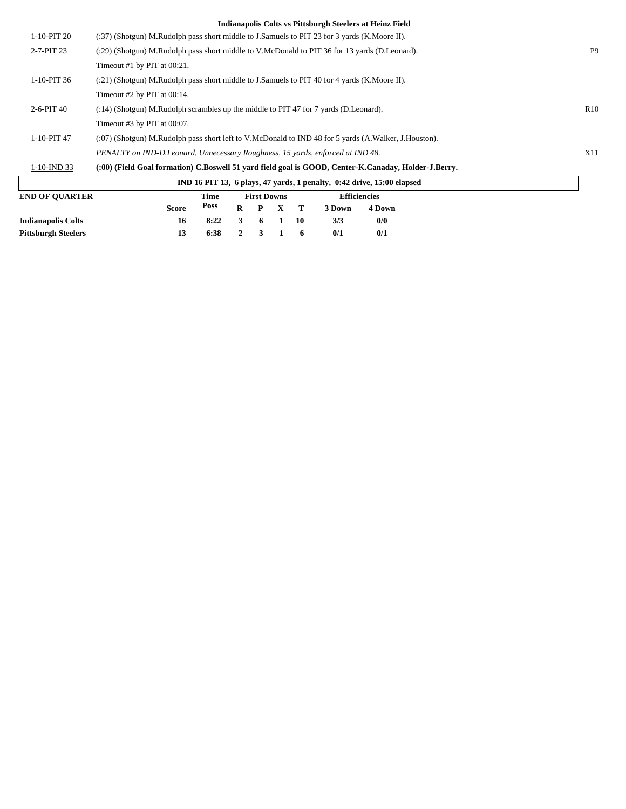| $1-10-PIT20$          | (:37) (Shotgun) M.Rudolph pass short middle to J.Samuels to PIT 23 for 3 yards (K.Moore II).         |                |
|-----------------------|------------------------------------------------------------------------------------------------------|----------------|
| $2 - 7 - PIT$ 23      | (:29) (Shotgun) M.Rudolph pass short middle to V.McDonald to PIT 36 for 13 yards (D.Leonard).        | P <sub>9</sub> |
|                       | Timeout #1 by PIT at $00:21$ .                                                                       |                |
| 1-10-PIT 36           | (:21) (Shotgun) M.Rudolph pass short middle to J.Samuels to PIT 40 for 4 yards (K.Moore II).         |                |
|                       | Timeout $#2$ by PIT at $00:14$ .                                                                     |                |
| $2-6-PIT40$           | $(3.14)$ (Shotgun) M.Rudolph scrambles up the middle to PIT 47 for 7 yards (D.Leonard).              | R10            |
|                       | Timeout $#3$ by PIT at $00:07$ .                                                                     |                |
| $1-10-PIT$ 47         | (:07) (Shotgun) M.Rudolph pass short left to V.McDonald to IND 48 for 5 yards (A.Walker, J.Houston). |                |
|                       | PENALTY on IND-D.Leonard, Unnecessary Roughness, 15 yards, enforced at IND 48.                       | X11            |
| $1-10$ -IND 33        | (:00) (Field Goal formation) C.Boswell 51 vard field goal is GOOD, Center-K.Canaday, Holder-J.Berry. |                |
|                       | IND 16 PIT 13, 6 plays, 47 yards, 1 penalty, 0:42 drive, 15:00 elapsed                               |                |
| <b>END OF OUARTER</b> | <b>Efficiencies</b><br><b>First Downs</b><br>Time                                                    |                |
|                       | <b>Poss</b><br>4 Down<br>R<br>3 Down<br><b>Score</b><br>$\mathbf{x}$<br>т<br>P                       |                |

**Indianapolis Colts 16 8:22 3 6 1 10 3/3 0/0 Pittsburgh Steelers 13 6:38 2 3 1 6 0/1 0/1**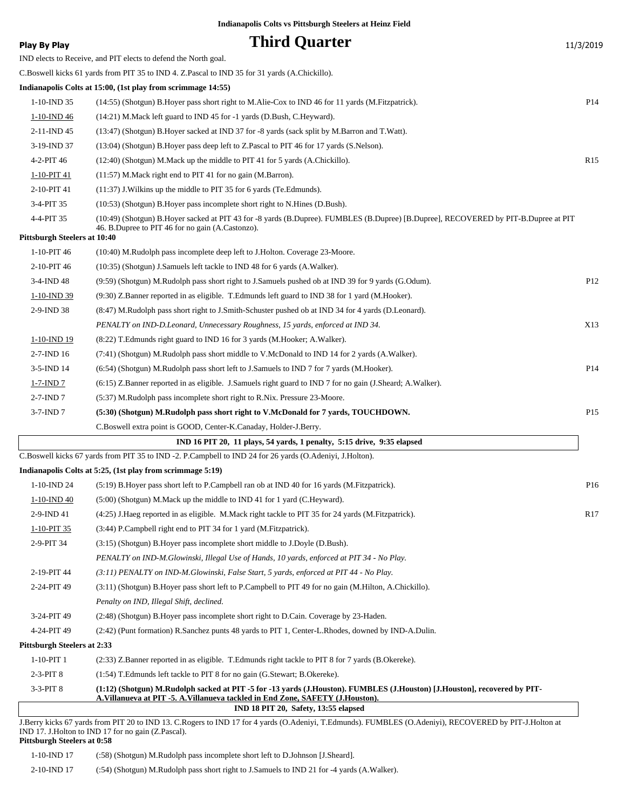| <b>Third Quarter</b><br>11/3/2019<br>Play By Play<br>IND elects to Receive, and PIT elects to defend the North goal.<br>C.Boswell kicks 61 yards from PIT 35 to IND 4. Z.Pascal to IND 35 for 31 yards (A.Chickillo).<br>Indianapolis Colts at 15:00, (1st play from scrimmage 14:55)<br>$1-10$ -IND 35<br>(14:55) (Shotgun) B. Hoyer pass short right to M. Alie-Cox to IND 46 for 11 yards (M. Fitzpatrick).<br>1-10-IND 46<br>(14:21) M. Mack left guard to IND 45 for -1 yards (D. Bush, C. Heyward).<br>2-11-IND 45<br>(13:47) (Shotgun) B.Hoyer sacked at IND 37 for -8 yards (sack split by M.Barron and T.Watt).<br>3-19-IND 37<br>(13:04) (Shotgun) B. Hoyer pass deep left to Z. Pascal to PIT 46 for 17 yards (S. Nelson).<br>4-2-PIT 46<br>(12:40) (Shotgun) M.Mack up the middle to PIT 41 for 5 yards (A.Chickillo).<br>1-10-PIT 41<br>$(11:57)$ M. Mack right end to PIT 41 for no gain (M. Barron).<br>2-10-PIT 41<br>(11:37) J. Wilkins up the middle to PIT 35 for 6 yards (Te. Edmunds).<br>(10:53) (Shotgun) B. Hoyer pass incomplete short right to N. Hines (D. Bush).<br>3-4-PIT 35<br>4-4-PIT 35<br>(10:49) (Shotgun) B.Hoyer sacked at PIT 43 for -8 yards (B.Dupree). FUMBLES (B.Dupree) [B.Dupree], RECOVERED by PIT-B.Dupree at PIT<br>46. B.Dupree to PIT 46 for no gain (A.Castonzo).<br>Pittsburgh Steelers at 10:40<br>1-10-PIT 46<br>(10:40) M.Rudolph pass incomplete deep left to J.Holton. Coverage 23-Moore.<br>2-10-PIT 46<br>(10:35) (Shotgun) J.Samuels left tackle to IND 48 for 6 yards (A.Walker).<br>3-4-IND 48<br>(9.59) (Shotgun) M.Rudolph pass short right to J.Samuels pushed ob at IND 39 for 9 yards (G.Odum).<br>(9:30) Z.Banner reported in as eligible. T.Edmunds left guard to IND 38 for 1 yard (M.Hooker).<br>1-10-IND 39<br>2-9-IND 38<br>(8:47) M.Rudolph pass short right to J.Smith-Schuster pushed ob at IND 34 for 4 yards (D.Leonard).<br>PENALTY on IND-D.Leonard, Unnecessary Roughness, 15 yards, enforced at IND 34.<br>1-10-IND 19<br>(8.22) T. Edmunds right guard to IND 16 for 3 yards (M. Hooker; A. Walker).<br>$2 - 7 - IND$ 16<br>(7:41) (Shotgun) M.Rudolph pass short middle to V.McDonald to IND 14 for 2 yards (A.Walker).<br>(6:54) (Shotgun) M.Rudolph pass short left to J.Samuels to IND 7 for 7 yards (M.Hooker).<br>$3-5$ -IND 14<br>$1 - 7 - IND$ 7<br>(6:15) Z.Banner reported in as eligible. J.Samuels right guard to IND 7 for no gain (J.Sheard; A.Walker).<br>$2-7$ -IND $7$<br>(5:37) M.Rudolph pass incomplete short right to R.Nix. Pressure 23-Moore.<br>$3-7$ -IND $7$<br>(5:30) (Shotgun) M.Rudolph pass short right to V.McDonald for 7 yards, TOUCHDOWN.<br>C.Boswell extra point is GOOD, Center-K.Canaday, Holder-J.Berry.<br>IND 16 PIT 20, 11 plays, 54 yards, 1 penalty, 5:15 drive, 9:35 elapsed<br>1-10-IND 24<br>(5:19) B. Hoyer pass short left to P. Campbell ran ob at IND 40 for 16 yards (M. Fitzpatrick).<br>1-10-IND 40<br>(5:00) (Shotgun) M.Mack up the middle to IND 41 for 1 yard (C.Heyward). | P <sub>14</sub><br>R <sub>15</sub> |
|------------------------------------------------------------------------------------------------------------------------------------------------------------------------------------------------------------------------------------------------------------------------------------------------------------------------------------------------------------------------------------------------------------------------------------------------------------------------------------------------------------------------------------------------------------------------------------------------------------------------------------------------------------------------------------------------------------------------------------------------------------------------------------------------------------------------------------------------------------------------------------------------------------------------------------------------------------------------------------------------------------------------------------------------------------------------------------------------------------------------------------------------------------------------------------------------------------------------------------------------------------------------------------------------------------------------------------------------------------------------------------------------------------------------------------------------------------------------------------------------------------------------------------------------------------------------------------------------------------------------------------------------------------------------------------------------------------------------------------------------------------------------------------------------------------------------------------------------------------------------------------------------------------------------------------------------------------------------------------------------------------------------------------------------------------------------------------------------------------------------------------------------------------------------------------------------------------------------------------------------------------------------------------------------------------------------------------------------------------------------------------------------------------------------------------------------------------------------------------------------------------------------------------------------------------------------------------------------------------------------------------------------------------------------------------------------------------------------------------------------------------------------------------------------------------------------------------------------------------------------------------------------------------------------------------------------------------------------------------------------------------------------|------------------------------------|
|                                                                                                                                                                                                                                                                                                                                                                                                                                                                                                                                                                                                                                                                                                                                                                                                                                                                                                                                                                                                                                                                                                                                                                                                                                                                                                                                                                                                                                                                                                                                                                                                                                                                                                                                                                                                                                                                                                                                                                                                                                                                                                                                                                                                                                                                                                                                                                                                                                                                                                                                                                                                                                                                                                                                                                                                                                                                                                                                                                                                                        |                                    |
|                                                                                                                                                                                                                                                                                                                                                                                                                                                                                                                                                                                                                                                                                                                                                                                                                                                                                                                                                                                                                                                                                                                                                                                                                                                                                                                                                                                                                                                                                                                                                                                                                                                                                                                                                                                                                                                                                                                                                                                                                                                                                                                                                                                                                                                                                                                                                                                                                                                                                                                                                                                                                                                                                                                                                                                                                                                                                                                                                                                                                        |                                    |
|                                                                                                                                                                                                                                                                                                                                                                                                                                                                                                                                                                                                                                                                                                                                                                                                                                                                                                                                                                                                                                                                                                                                                                                                                                                                                                                                                                                                                                                                                                                                                                                                                                                                                                                                                                                                                                                                                                                                                                                                                                                                                                                                                                                                                                                                                                                                                                                                                                                                                                                                                                                                                                                                                                                                                                                                                                                                                                                                                                                                                        |                                    |
|                                                                                                                                                                                                                                                                                                                                                                                                                                                                                                                                                                                                                                                                                                                                                                                                                                                                                                                                                                                                                                                                                                                                                                                                                                                                                                                                                                                                                                                                                                                                                                                                                                                                                                                                                                                                                                                                                                                                                                                                                                                                                                                                                                                                                                                                                                                                                                                                                                                                                                                                                                                                                                                                                                                                                                                                                                                                                                                                                                                                                        |                                    |
|                                                                                                                                                                                                                                                                                                                                                                                                                                                                                                                                                                                                                                                                                                                                                                                                                                                                                                                                                                                                                                                                                                                                                                                                                                                                                                                                                                                                                                                                                                                                                                                                                                                                                                                                                                                                                                                                                                                                                                                                                                                                                                                                                                                                                                                                                                                                                                                                                                                                                                                                                                                                                                                                                                                                                                                                                                                                                                                                                                                                                        |                                    |
|                                                                                                                                                                                                                                                                                                                                                                                                                                                                                                                                                                                                                                                                                                                                                                                                                                                                                                                                                                                                                                                                                                                                                                                                                                                                                                                                                                                                                                                                                                                                                                                                                                                                                                                                                                                                                                                                                                                                                                                                                                                                                                                                                                                                                                                                                                                                                                                                                                                                                                                                                                                                                                                                                                                                                                                                                                                                                                                                                                                                                        |                                    |
|                                                                                                                                                                                                                                                                                                                                                                                                                                                                                                                                                                                                                                                                                                                                                                                                                                                                                                                                                                                                                                                                                                                                                                                                                                                                                                                                                                                                                                                                                                                                                                                                                                                                                                                                                                                                                                                                                                                                                                                                                                                                                                                                                                                                                                                                                                                                                                                                                                                                                                                                                                                                                                                                                                                                                                                                                                                                                                                                                                                                                        |                                    |
|                                                                                                                                                                                                                                                                                                                                                                                                                                                                                                                                                                                                                                                                                                                                                                                                                                                                                                                                                                                                                                                                                                                                                                                                                                                                                                                                                                                                                                                                                                                                                                                                                                                                                                                                                                                                                                                                                                                                                                                                                                                                                                                                                                                                                                                                                                                                                                                                                                                                                                                                                                                                                                                                                                                                                                                                                                                                                                                                                                                                                        |                                    |
|                                                                                                                                                                                                                                                                                                                                                                                                                                                                                                                                                                                                                                                                                                                                                                                                                                                                                                                                                                                                                                                                                                                                                                                                                                                                                                                                                                                                                                                                                                                                                                                                                                                                                                                                                                                                                                                                                                                                                                                                                                                                                                                                                                                                                                                                                                                                                                                                                                                                                                                                                                                                                                                                                                                                                                                                                                                                                                                                                                                                                        |                                    |
|                                                                                                                                                                                                                                                                                                                                                                                                                                                                                                                                                                                                                                                                                                                                                                                                                                                                                                                                                                                                                                                                                                                                                                                                                                                                                                                                                                                                                                                                                                                                                                                                                                                                                                                                                                                                                                                                                                                                                                                                                                                                                                                                                                                                                                                                                                                                                                                                                                                                                                                                                                                                                                                                                                                                                                                                                                                                                                                                                                                                                        |                                    |
|                                                                                                                                                                                                                                                                                                                                                                                                                                                                                                                                                                                                                                                                                                                                                                                                                                                                                                                                                                                                                                                                                                                                                                                                                                                                                                                                                                                                                                                                                                                                                                                                                                                                                                                                                                                                                                                                                                                                                                                                                                                                                                                                                                                                                                                                                                                                                                                                                                                                                                                                                                                                                                                                                                                                                                                                                                                                                                                                                                                                                        |                                    |
|                                                                                                                                                                                                                                                                                                                                                                                                                                                                                                                                                                                                                                                                                                                                                                                                                                                                                                                                                                                                                                                                                                                                                                                                                                                                                                                                                                                                                                                                                                                                                                                                                                                                                                                                                                                                                                                                                                                                                                                                                                                                                                                                                                                                                                                                                                                                                                                                                                                                                                                                                                                                                                                                                                                                                                                                                                                                                                                                                                                                                        |                                    |
| C.Boswell kicks 67 yards from PIT 35 to IND -2. P.Campbell to IND 24 for 26 yards (O.Adeniyi, J.Holton).<br>Indianapolis Colts at 5:25, (1st play from scrimmage 5:19)                                                                                                                                                                                                                                                                                                                                                                                                                                                                                                                                                                                                                                                                                                                                                                                                                                                                                                                                                                                                                                                                                                                                                                                                                                                                                                                                                                                                                                                                                                                                                                                                                                                                                                                                                                                                                                                                                                                                                                                                                                                                                                                                                                                                                                                                                                                                                                                                                                                                                                                                                                                                                                                                                                                                                                                                                                                 |                                    |
|                                                                                                                                                                                                                                                                                                                                                                                                                                                                                                                                                                                                                                                                                                                                                                                                                                                                                                                                                                                                                                                                                                                                                                                                                                                                                                                                                                                                                                                                                                                                                                                                                                                                                                                                                                                                                                                                                                                                                                                                                                                                                                                                                                                                                                                                                                                                                                                                                                                                                                                                                                                                                                                                                                                                                                                                                                                                                                                                                                                                                        |                                    |
|                                                                                                                                                                                                                                                                                                                                                                                                                                                                                                                                                                                                                                                                                                                                                                                                                                                                                                                                                                                                                                                                                                                                                                                                                                                                                                                                                                                                                                                                                                                                                                                                                                                                                                                                                                                                                                                                                                                                                                                                                                                                                                                                                                                                                                                                                                                                                                                                                                                                                                                                                                                                                                                                                                                                                                                                                                                                                                                                                                                                                        |                                    |
|                                                                                                                                                                                                                                                                                                                                                                                                                                                                                                                                                                                                                                                                                                                                                                                                                                                                                                                                                                                                                                                                                                                                                                                                                                                                                                                                                                                                                                                                                                                                                                                                                                                                                                                                                                                                                                                                                                                                                                                                                                                                                                                                                                                                                                                                                                                                                                                                                                                                                                                                                                                                                                                                                                                                                                                                                                                                                                                                                                                                                        | P12                                |
|                                                                                                                                                                                                                                                                                                                                                                                                                                                                                                                                                                                                                                                                                                                                                                                                                                                                                                                                                                                                                                                                                                                                                                                                                                                                                                                                                                                                                                                                                                                                                                                                                                                                                                                                                                                                                                                                                                                                                                                                                                                                                                                                                                                                                                                                                                                                                                                                                                                                                                                                                                                                                                                                                                                                                                                                                                                                                                                                                                                                                        |                                    |
|                                                                                                                                                                                                                                                                                                                                                                                                                                                                                                                                                                                                                                                                                                                                                                                                                                                                                                                                                                                                                                                                                                                                                                                                                                                                                                                                                                                                                                                                                                                                                                                                                                                                                                                                                                                                                                                                                                                                                                                                                                                                                                                                                                                                                                                                                                                                                                                                                                                                                                                                                                                                                                                                                                                                                                                                                                                                                                                                                                                                                        |                                    |
|                                                                                                                                                                                                                                                                                                                                                                                                                                                                                                                                                                                                                                                                                                                                                                                                                                                                                                                                                                                                                                                                                                                                                                                                                                                                                                                                                                                                                                                                                                                                                                                                                                                                                                                                                                                                                                                                                                                                                                                                                                                                                                                                                                                                                                                                                                                                                                                                                                                                                                                                                                                                                                                                                                                                                                                                                                                                                                                                                                                                                        | X13                                |
|                                                                                                                                                                                                                                                                                                                                                                                                                                                                                                                                                                                                                                                                                                                                                                                                                                                                                                                                                                                                                                                                                                                                                                                                                                                                                                                                                                                                                                                                                                                                                                                                                                                                                                                                                                                                                                                                                                                                                                                                                                                                                                                                                                                                                                                                                                                                                                                                                                                                                                                                                                                                                                                                                                                                                                                                                                                                                                                                                                                                                        |                                    |
|                                                                                                                                                                                                                                                                                                                                                                                                                                                                                                                                                                                                                                                                                                                                                                                                                                                                                                                                                                                                                                                                                                                                                                                                                                                                                                                                                                                                                                                                                                                                                                                                                                                                                                                                                                                                                                                                                                                                                                                                                                                                                                                                                                                                                                                                                                                                                                                                                                                                                                                                                                                                                                                                                                                                                                                                                                                                                                                                                                                                                        |                                    |
|                                                                                                                                                                                                                                                                                                                                                                                                                                                                                                                                                                                                                                                                                                                                                                                                                                                                                                                                                                                                                                                                                                                                                                                                                                                                                                                                                                                                                                                                                                                                                                                                                                                                                                                                                                                                                                                                                                                                                                                                                                                                                                                                                                                                                                                                                                                                                                                                                                                                                                                                                                                                                                                                                                                                                                                                                                                                                                                                                                                                                        | P14                                |
|                                                                                                                                                                                                                                                                                                                                                                                                                                                                                                                                                                                                                                                                                                                                                                                                                                                                                                                                                                                                                                                                                                                                                                                                                                                                                                                                                                                                                                                                                                                                                                                                                                                                                                                                                                                                                                                                                                                                                                                                                                                                                                                                                                                                                                                                                                                                                                                                                                                                                                                                                                                                                                                                                                                                                                                                                                                                                                                                                                                                                        |                                    |
|                                                                                                                                                                                                                                                                                                                                                                                                                                                                                                                                                                                                                                                                                                                                                                                                                                                                                                                                                                                                                                                                                                                                                                                                                                                                                                                                                                                                                                                                                                                                                                                                                                                                                                                                                                                                                                                                                                                                                                                                                                                                                                                                                                                                                                                                                                                                                                                                                                                                                                                                                                                                                                                                                                                                                                                                                                                                                                                                                                                                                        |                                    |
|                                                                                                                                                                                                                                                                                                                                                                                                                                                                                                                                                                                                                                                                                                                                                                                                                                                                                                                                                                                                                                                                                                                                                                                                                                                                                                                                                                                                                                                                                                                                                                                                                                                                                                                                                                                                                                                                                                                                                                                                                                                                                                                                                                                                                                                                                                                                                                                                                                                                                                                                                                                                                                                                                                                                                                                                                                                                                                                                                                                                                        | P15                                |
|                                                                                                                                                                                                                                                                                                                                                                                                                                                                                                                                                                                                                                                                                                                                                                                                                                                                                                                                                                                                                                                                                                                                                                                                                                                                                                                                                                                                                                                                                                                                                                                                                                                                                                                                                                                                                                                                                                                                                                                                                                                                                                                                                                                                                                                                                                                                                                                                                                                                                                                                                                                                                                                                                                                                                                                                                                                                                                                                                                                                                        |                                    |
|                                                                                                                                                                                                                                                                                                                                                                                                                                                                                                                                                                                                                                                                                                                                                                                                                                                                                                                                                                                                                                                                                                                                                                                                                                                                                                                                                                                                                                                                                                                                                                                                                                                                                                                                                                                                                                                                                                                                                                                                                                                                                                                                                                                                                                                                                                                                                                                                                                                                                                                                                                                                                                                                                                                                                                                                                                                                                                                                                                                                                        |                                    |
|                                                                                                                                                                                                                                                                                                                                                                                                                                                                                                                                                                                                                                                                                                                                                                                                                                                                                                                                                                                                                                                                                                                                                                                                                                                                                                                                                                                                                                                                                                                                                                                                                                                                                                                                                                                                                                                                                                                                                                                                                                                                                                                                                                                                                                                                                                                                                                                                                                                                                                                                                                                                                                                                                                                                                                                                                                                                                                                                                                                                                        |                                    |
|                                                                                                                                                                                                                                                                                                                                                                                                                                                                                                                                                                                                                                                                                                                                                                                                                                                                                                                                                                                                                                                                                                                                                                                                                                                                                                                                                                                                                                                                                                                                                                                                                                                                                                                                                                                                                                                                                                                                                                                                                                                                                                                                                                                                                                                                                                                                                                                                                                                                                                                                                                                                                                                                                                                                                                                                                                                                                                                                                                                                                        |                                    |
|                                                                                                                                                                                                                                                                                                                                                                                                                                                                                                                                                                                                                                                                                                                                                                                                                                                                                                                                                                                                                                                                                                                                                                                                                                                                                                                                                                                                                                                                                                                                                                                                                                                                                                                                                                                                                                                                                                                                                                                                                                                                                                                                                                                                                                                                                                                                                                                                                                                                                                                                                                                                                                                                                                                                                                                                                                                                                                                                                                                                                        | P <sub>16</sub>                    |
|                                                                                                                                                                                                                                                                                                                                                                                                                                                                                                                                                                                                                                                                                                                                                                                                                                                                                                                                                                                                                                                                                                                                                                                                                                                                                                                                                                                                                                                                                                                                                                                                                                                                                                                                                                                                                                                                                                                                                                                                                                                                                                                                                                                                                                                                                                                                                                                                                                                                                                                                                                                                                                                                                                                                                                                                                                                                                                                                                                                                                        |                                    |
| 2-9-IND 41<br>(4:25) J. Haeg reported in as eligible. M. Mack right tackle to PIT 35 for 24 yards (M. Fitzpatrick).                                                                                                                                                                                                                                                                                                                                                                                                                                                                                                                                                                                                                                                                                                                                                                                                                                                                                                                                                                                                                                                                                                                                                                                                                                                                                                                                                                                                                                                                                                                                                                                                                                                                                                                                                                                                                                                                                                                                                                                                                                                                                                                                                                                                                                                                                                                                                                                                                                                                                                                                                                                                                                                                                                                                                                                                                                                                                                    | R <sub>17</sub>                    |
| (3:44) P.Campbell right end to PIT 34 for 1 yard (M.Fitzpatrick).<br>$1-10-PIT$ 35                                                                                                                                                                                                                                                                                                                                                                                                                                                                                                                                                                                                                                                                                                                                                                                                                                                                                                                                                                                                                                                                                                                                                                                                                                                                                                                                                                                                                                                                                                                                                                                                                                                                                                                                                                                                                                                                                                                                                                                                                                                                                                                                                                                                                                                                                                                                                                                                                                                                                                                                                                                                                                                                                                                                                                                                                                                                                                                                     |                                    |
| 2-9-PIT 34<br>(3:15) (Shotgun) B. Hoyer pass incomplete short middle to J. Doyle (D. Bush).                                                                                                                                                                                                                                                                                                                                                                                                                                                                                                                                                                                                                                                                                                                                                                                                                                                                                                                                                                                                                                                                                                                                                                                                                                                                                                                                                                                                                                                                                                                                                                                                                                                                                                                                                                                                                                                                                                                                                                                                                                                                                                                                                                                                                                                                                                                                                                                                                                                                                                                                                                                                                                                                                                                                                                                                                                                                                                                            |                                    |
| PENALTY on IND-M.Glowinski, Illegal Use of Hands, 10 yards, enforced at PIT 34 - No Play.                                                                                                                                                                                                                                                                                                                                                                                                                                                                                                                                                                                                                                                                                                                                                                                                                                                                                                                                                                                                                                                                                                                                                                                                                                                                                                                                                                                                                                                                                                                                                                                                                                                                                                                                                                                                                                                                                                                                                                                                                                                                                                                                                                                                                                                                                                                                                                                                                                                                                                                                                                                                                                                                                                                                                                                                                                                                                                                              |                                    |
| 2-19-PIT 44<br>(3:11) PENALTY on IND-M.Glowinski, False Start, 5 yards, enforced at PIT 44 - No Play.                                                                                                                                                                                                                                                                                                                                                                                                                                                                                                                                                                                                                                                                                                                                                                                                                                                                                                                                                                                                                                                                                                                                                                                                                                                                                                                                                                                                                                                                                                                                                                                                                                                                                                                                                                                                                                                                                                                                                                                                                                                                                                                                                                                                                                                                                                                                                                                                                                                                                                                                                                                                                                                                                                                                                                                                                                                                                                                  |                                    |
| 2-24-PIT 49<br>(3:11) (Shotgun) B.Hoyer pass short left to P.Campbell to PIT 49 for no gain (M.Hilton, A.Chickillo).                                                                                                                                                                                                                                                                                                                                                                                                                                                                                                                                                                                                                                                                                                                                                                                                                                                                                                                                                                                                                                                                                                                                                                                                                                                                                                                                                                                                                                                                                                                                                                                                                                                                                                                                                                                                                                                                                                                                                                                                                                                                                                                                                                                                                                                                                                                                                                                                                                                                                                                                                                                                                                                                                                                                                                                                                                                                                                   |                                    |
| Penalty on IND, Illegal Shift, declined.                                                                                                                                                                                                                                                                                                                                                                                                                                                                                                                                                                                                                                                                                                                                                                                                                                                                                                                                                                                                                                                                                                                                                                                                                                                                                                                                                                                                                                                                                                                                                                                                                                                                                                                                                                                                                                                                                                                                                                                                                                                                                                                                                                                                                                                                                                                                                                                                                                                                                                                                                                                                                                                                                                                                                                                                                                                                                                                                                                               |                                    |
| 3-24-PIT 49<br>(2:48) (Shotgun) B.Hoyer pass incomplete short right to D.Cain. Coverage by 23-Haden.                                                                                                                                                                                                                                                                                                                                                                                                                                                                                                                                                                                                                                                                                                                                                                                                                                                                                                                                                                                                                                                                                                                                                                                                                                                                                                                                                                                                                                                                                                                                                                                                                                                                                                                                                                                                                                                                                                                                                                                                                                                                                                                                                                                                                                                                                                                                                                                                                                                                                                                                                                                                                                                                                                                                                                                                                                                                                                                   |                                    |
| 4-24-PIT 49<br>(2:42) (Punt formation) R.Sanchez punts 48 yards to PIT 1, Center-L.Rhodes, downed by IND-A.Dulin.                                                                                                                                                                                                                                                                                                                                                                                                                                                                                                                                                                                                                                                                                                                                                                                                                                                                                                                                                                                                                                                                                                                                                                                                                                                                                                                                                                                                                                                                                                                                                                                                                                                                                                                                                                                                                                                                                                                                                                                                                                                                                                                                                                                                                                                                                                                                                                                                                                                                                                                                                                                                                                                                                                                                                                                                                                                                                                      |                                    |
| Pittsburgh Steelers at 2:33                                                                                                                                                                                                                                                                                                                                                                                                                                                                                                                                                                                                                                                                                                                                                                                                                                                                                                                                                                                                                                                                                                                                                                                                                                                                                                                                                                                                                                                                                                                                                                                                                                                                                                                                                                                                                                                                                                                                                                                                                                                                                                                                                                                                                                                                                                                                                                                                                                                                                                                                                                                                                                                                                                                                                                                                                                                                                                                                                                                            |                                    |
| $1-10-PIT1$<br>(2:33) Z.Banner reported in as eligible. T.Edmunds right tackle to PIT 8 for 7 yards (B.Okereke).                                                                                                                                                                                                                                                                                                                                                                                                                                                                                                                                                                                                                                                                                                                                                                                                                                                                                                                                                                                                                                                                                                                                                                                                                                                                                                                                                                                                                                                                                                                                                                                                                                                                                                                                                                                                                                                                                                                                                                                                                                                                                                                                                                                                                                                                                                                                                                                                                                                                                                                                                                                                                                                                                                                                                                                                                                                                                                       |                                    |
| $2-3-PIT8$<br>(1:54) T.Edmunds left tackle to PIT 8 for no gain (G.Stewart; B.Okereke).                                                                                                                                                                                                                                                                                                                                                                                                                                                                                                                                                                                                                                                                                                                                                                                                                                                                                                                                                                                                                                                                                                                                                                                                                                                                                                                                                                                                                                                                                                                                                                                                                                                                                                                                                                                                                                                                                                                                                                                                                                                                                                                                                                                                                                                                                                                                                                                                                                                                                                                                                                                                                                                                                                                                                                                                                                                                                                                                |                                    |
| 3-3-PIT 8<br>(1:12) (Shotgun) M.Rudolph sacked at PIT -5 for -13 yards (J.Houston). FUMBLES (J.Houston) [J.Houston], recovered by PIT-<br>A. Villanueva at PIT -5. A. Villanueva tackled in End Zone, SAFETY (J. Houston).<br>IND 18 PIT 20, Safety, 13:55 elapsed                                                                                                                                                                                                                                                                                                                                                                                                                                                                                                                                                                                                                                                                                                                                                                                                                                                                                                                                                                                                                                                                                                                                                                                                                                                                                                                                                                                                                                                                                                                                                                                                                                                                                                                                                                                                                                                                                                                                                                                                                                                                                                                                                                                                                                                                                                                                                                                                                                                                                                                                                                                                                                                                                                                                                     |                                    |

J.Berry kicks 67 yards from PIT 20 to IND 13. C.Rogers to IND 17 for 4 yards (O.Adeniyi, T.Edmunds). FUMBLES (O.Adeniyi), RECOVERED by PIT-J.Holton at IND 17. J.Holton to IND 17 for no gain (Z.Pascal). **Pittsburgh Steelers at 0:58**

1-10-IND 17 (:58) (Shotgun) M.Rudolph pass incomplete short left to D.Johnson [J.Sheard].

2-10-IND 17 (:54) (Shotgun) M.Rudolph pass short right to J.Samuels to IND 21 for -4 yards (A.Walker).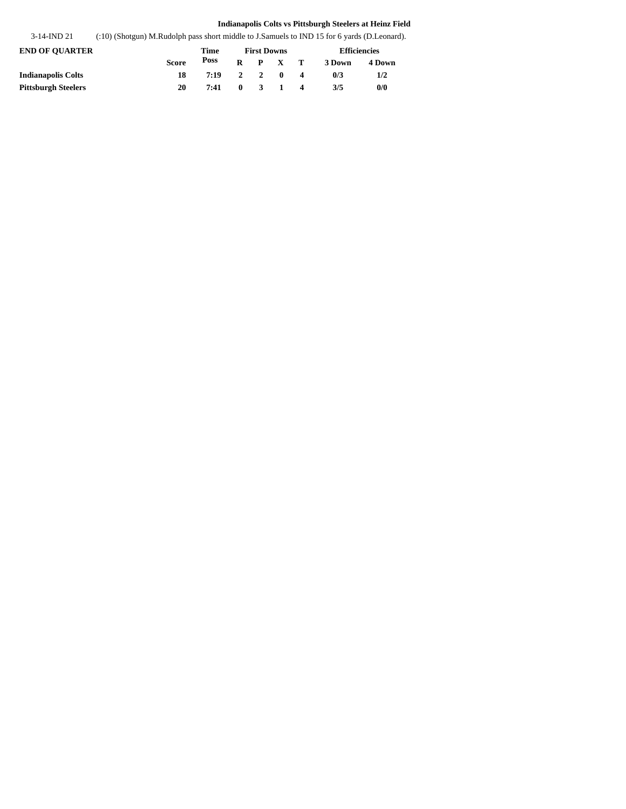3-14-IND 21 (:10) (Shotgun) M.Rudolph pass short middle to J.Samuels to IND 15 for 6 yards (D.Leonard).

| <b>END OF OUARTER</b>     |              | Time        | <b>First Downs</b> |  |                 |                         | <b>Efficiencies</b> |        |  |
|---------------------------|--------------|-------------|--------------------|--|-----------------|-------------------------|---------------------|--------|--|
|                           | <b>Score</b> | <b>Poss</b> |                    |  | $R$ $P$ $X$ $T$ |                         | 3 Down              | 4 Down |  |
| <b>Indianapolis Colts</b> | 18           | 7:19        |                    |  | 2 2 0           | $\overline{\mathbf{A}}$ | 0/3                 | 1/2    |  |
| Pittsburgh Steelers       | 20           | 7:41        |                    |  | $0 \t3 \t1 \t4$ |                         | 3/5                 | 0/0    |  |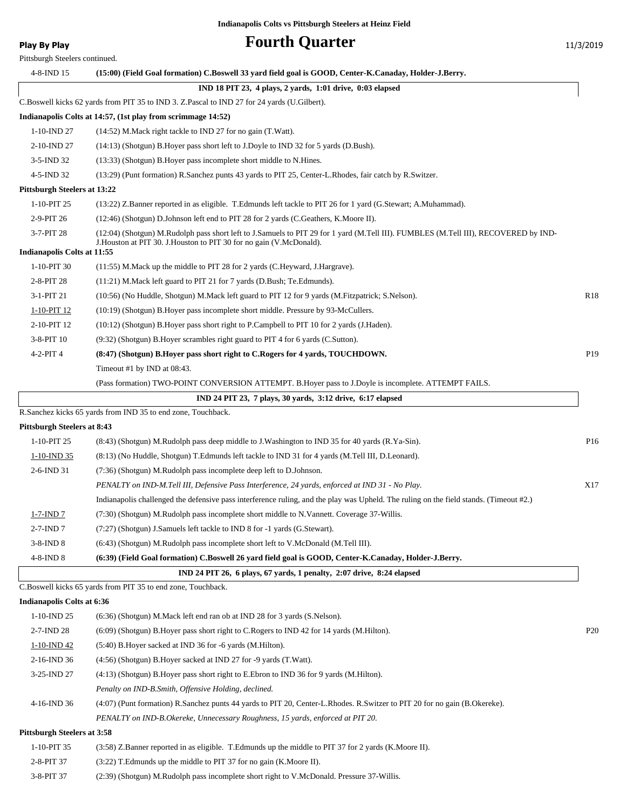**Play By Play Play Play Play Play By Play Fourth Quarter** 11/3/2019

| 4-8-IND 15                                | (15:00) (Field Goal formation) C.Boswell 33 yard field goal is GOOD, Center-K.Canaday, Holder-J.Berry.                                                                                                       |  |
|-------------------------------------------|--------------------------------------------------------------------------------------------------------------------------------------------------------------------------------------------------------------|--|
|                                           | IND 18 PIT 23, 4 plays, 2 yards, 1:01 drive, 0:03 elapsed                                                                                                                                                    |  |
|                                           | C.Boswell kicks 62 yards from PIT 35 to IND 3. Z.Pascal to IND 27 for 24 yards (U.Gilbert).                                                                                                                  |  |
|                                           | Indianapolis Colts at 14:57, (1st play from scrimmage 14:52)                                                                                                                                                 |  |
| 1-10-IND 27                               | (14:52) M. Mack right tackle to IND 27 for no gain (T. Watt).                                                                                                                                                |  |
| 2-10-IND 27                               | (14:13) (Shotgun) B.Hoyer pass short left to J.Doyle to IND 32 for 5 yards (D.Bush).                                                                                                                         |  |
| 3-5-IND 32                                | (13:33) (Shotgun) B. Hoyer pass incomplete short middle to N. Hines.                                                                                                                                         |  |
| 4-5-IND 32                                | (13:29) (Punt formation) R.Sanchez punts 43 yards to PIT 25, Center-L.Rhodes, fair catch by R.Switzer.                                                                                                       |  |
| Pittsburgh Steelers at 13:22              |                                                                                                                                                                                                              |  |
| 1-10-PIT 25                               | (13:22) Z.Banner reported in as eligible. T.Edmunds left tackle to PIT 26 for 1 yard (G.Stewart; A.Muhammad).                                                                                                |  |
| 2-9-PIT 26                                | (12:46) (Shotgun) D.Johnson left end to PIT 28 for 2 yards (C.Geathers, K.Moore II).                                                                                                                         |  |
| 3-7-PIT 28<br>Indianapolis Colts at 11:55 | (12:04) (Shotgun) M.Rudolph pass short left to J.Samuels to PIT 29 for 1 yard (M.Tell III). FUMBLES (M.Tell III), RECOVERED by IND-<br>J. Houston at PIT 30. J. Houston to PIT 30 for no gain (V. McDonald). |  |
| 1-10-PIT 30                               | (11:55) M. Mack up the middle to PIT 28 for 2 yards (C. Heyward, J. Hargrave).                                                                                                                               |  |
| 2-8-PIT 28                                | (11:21) M. Mack left guard to PIT 21 for 7 yards (D. Bush; Te. Edmunds).                                                                                                                                     |  |
| 3-1-PIT 21                                | (10:56) (No Huddle, Shotgun) M.Mack left guard to PIT 12 for 9 yards (M.Fitzpatrick; S.Nelson).                                                                                                              |  |
| 1-10-PIT 12                               | (10:19) (Shotgun) B.Hoyer pass incomplete short middle. Pressure by 93-McCullers.                                                                                                                            |  |
| 2-10-PIT 12                               | (10:12) (Shotgun) B.Hoyer pass short right to P.Campbell to PIT 10 for 2 yards (J.Haden).                                                                                                                    |  |
| 3-8-PIT 10                                | (9:32) (Shotgun) B. Hoyer scrambles right guard to PIT 4 for 6 yards (C. Sutton).                                                                                                                            |  |
| $4-2-PIT4$                                | (8:47) (Shotgun) B.Hoyer pass short right to C.Rogers for 4 yards, TOUCHDOWN.                                                                                                                                |  |
|                                           | Timeout #1 by IND at 08:43.                                                                                                                                                                                  |  |
|                                           | (Pass formation) TWO-POINT CONVERSION ATTEMPT. B.Hoyer pass to J.Doyle is incomplete. ATTEMPT FAILS.                                                                                                         |  |
|                                           | IND 24 PIT 23, 7 plays, 30 yards, 3:12 drive, 6:17 elapsed                                                                                                                                                   |  |
|                                           | R.Sanchez kicks 65 yards from IND 35 to end zone, Touchback.                                                                                                                                                 |  |
| <b>Pittsburgh Steelers at 8:43</b>        |                                                                                                                                                                                                              |  |
| 1-10-PIT 25                               | (8.43) (Shotgun) M.Rudolph pass deep middle to J.Washington to IND 35 for 40 yards (R.Ya-Sin).                                                                                                               |  |
| $1-10$ -IND 35                            | (8:13) (No Huddle, Shotgun) T.Edmunds left tackle to IND 31 for 4 yards (M.Tell III, D.Leonard).                                                                                                             |  |
| 2-6-IND 31                                | (7:36) (Shotgun) M.Rudolph pass incomplete deep left to D.Johnson.                                                                                                                                           |  |
|                                           | PENALTY on IND-M.Tell III, Defensive Pass Interference, 24 yards, enforced at IND 31 - No Play.                                                                                                              |  |
|                                           | Indianapolis challenged the defensive pass interference ruling, and the play was Upheld. The ruling on the field stands. (Timeout #2.)                                                                       |  |
| $1-7$ -IND $7$                            | (7:30) (Shotgun) M.Rudolph pass incomplete short middle to N.Vannett. Coverage 37-Willis.                                                                                                                    |  |
| $2-7$ -IND $7$                            | (7:27) (Shotgun) J.Samuels left tackle to IND 8 for -1 yards (G.Stewart).                                                                                                                                    |  |
| $3-8$ -IND $8$                            | (6:43) (Shotgun) M.Rudolph pass incomplete short left to V.McDonald (M.Tell III).                                                                                                                            |  |
| $4-8$ -IND $8$                            | (6:39) (Field Goal formation) C.Boswell 26 yard field goal is GOOD, Center-K.Canaday, Holder-J.Berry.                                                                                                        |  |
|                                           | IND 24 PIT 26, 6 plays, 67 yards, 1 penalty, 2:07 drive, 8:24 elapsed                                                                                                                                        |  |
|                                           | C.Boswell kicks 65 yards from PIT 35 to end zone, Touchback.                                                                                                                                                 |  |
| Indianapolis Colts at 6:36                |                                                                                                                                                                                                              |  |

| 1-10-IND 25                                                                                      | $(6.36)$ (Shotgun) M.Mack left end ran ob at IND 28 for 3 yards (S.Nelson).                                               |                 |
|--------------------------------------------------------------------------------------------------|---------------------------------------------------------------------------------------------------------------------------|-----------------|
| $2-7$ -IND 28                                                                                    | $(6.09)$ (Shotgun) B. Hover pass short right to C. Rogers to IND 42 for 14 yards (M. Hilton).                             | P <sub>20</sub> |
| $1-10$ -IND 42                                                                                   | $(5:40)$ B. Hover sacked at IND 36 for -6 yards $(M.Hilton)$ .                                                            |                 |
| $2-16$ -IND 36                                                                                   | (4:56) (Shotgun) B.Hoyer sacked at IND 27 for -9 yards (T.Watt).                                                          |                 |
| 3-25-IND 27                                                                                      | $(4:13)$ (Shotgun) B. Hover pass short right to E. Ebron to IND 36 for 9 yards (M. Hilton).                               |                 |
|                                                                                                  | Penalty on IND-B. Smith, Offensive Holding, declined.                                                                     |                 |
| 4-16-IND 36                                                                                      | (4:07) (Punt formation) R.Sanchez punts 44 yards to PIT 20, Center-L.Rhodes. R.Switzer to PIT 20 for no gain (B.Okereke). |                 |
|                                                                                                  | PENALTY on IND-B.Okereke, Unnecessary Roughness, 15 yards, enforced at PIT 20.                                            |                 |
| $D_{i}^{t}$ the bound $D_{i}^{t}$ of $\alpha$ and $\alpha$ $t$ $\alpha$ $\beta$ $\alpha$ $\beta$ |                                                                                                                           |                 |

#### **Pittsburgh Steelers at 3:58**

| 1-10-PIT 35 | $(3:58)$ Z.Banner reported in as eligible. T.Edmunds up the middle to PIT 37 for 2 yards (K.Moore II). |
|-------------|--------------------------------------------------------------------------------------------------------|
| 2-8-PIT 37  | $(3:22)$ T. Edmunds up the middle to PIT 37 for no gain (K. Moore II).                                 |
| 3-8-PIT 37  | (2:39) (Shotgun) M.Rudolph pass incomplete short right to V.McDonald. Pressure 37-Willis.              |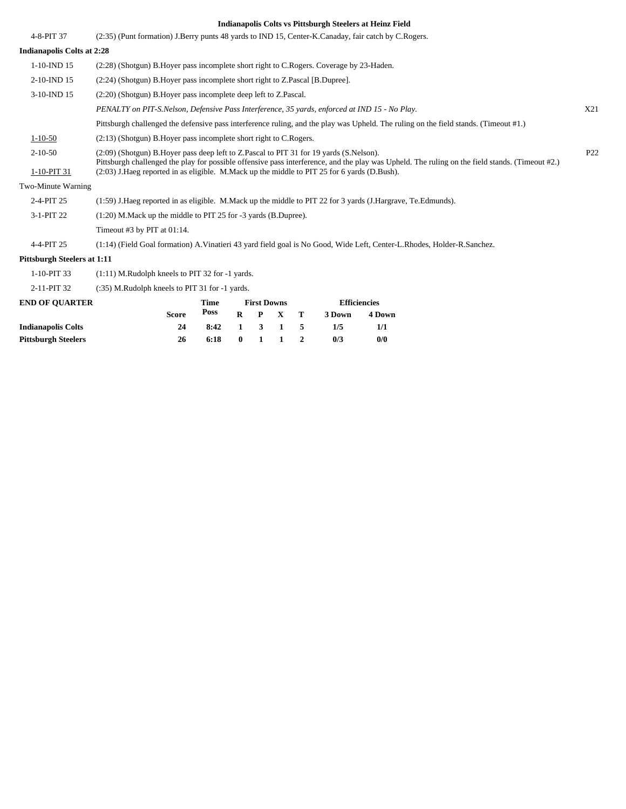| 4-8-PIT 37                   | (2:35) (Punt formation) J.Berry punts 48 yards to IND 15, Center-K.Canaday, fair catch by C.Rogers.                                                                                                                                                                                                                                         |                 |
|------------------------------|---------------------------------------------------------------------------------------------------------------------------------------------------------------------------------------------------------------------------------------------------------------------------------------------------------------------------------------------|-----------------|
| Indianapolis Colts at 2:28   |                                                                                                                                                                                                                                                                                                                                             |                 |
| $1-10$ -IND $15$             | (2:28) (Shotgun) B. Hoyer pass incomplete short right to C. Rogers. Coverage by 23-Haden.                                                                                                                                                                                                                                                   |                 |
| 2-10-IND 15                  | (2:24) (Shotgun) B. Hoyer pass incomplete short right to Z. Pascal [B. Dupree].                                                                                                                                                                                                                                                             |                 |
| 3-10-IND 15                  | (2:20) (Shotgun) B. Hoyer pass incomplete deep left to Z. Pascal.                                                                                                                                                                                                                                                                           |                 |
|                              | PENALTY on PIT-S. Nelson, Defensive Pass Interference, 35 yards, enforced at IND 15 - No Play.                                                                                                                                                                                                                                              | X21             |
|                              | Pittsburgh challenged the defensive pass interference ruling, and the play was Upheld. The ruling on the field stands. (Timeout #1.)                                                                                                                                                                                                        |                 |
| $1 - 10 - 50$                | $(2:13)$ (Shotgun) B. Hover pass incomplete short right to C. Rogers.                                                                                                                                                                                                                                                                       |                 |
| $2 - 10 - 50$<br>1-10-PIT 31 | (2:09) (Shotgun) B. Hoyer pass deep left to Z. Pascal to PIT 31 for 19 yards (S. Nelson).<br>Pittsburgh challenged the play for possible offensive pass interference, and the play was Upheld. The ruling on the field stands. (Timeout #2.)<br>(2:03) J.Haeg reported in as eligible. M.Mack up the middle to PIT 25 for 6 yards (D.Bush). | P <sub>22</sub> |
| Two-Minute Warning           |                                                                                                                                                                                                                                                                                                                                             |                 |
| 2-4-PIT 25                   | (1:59) J.Haeg reported in as eligible. M.Mack up the middle to PIT 22 for 3 yards (J.Hargrave, Te.Edmunds).                                                                                                                                                                                                                                 |                 |
| 3-1-PIT 22                   | $(1:20)$ M. Mack up the middle to PIT 25 for -3 yards (B. Dupree).                                                                                                                                                                                                                                                                          |                 |
|                              | Timeout #3 by PIT at 01:14.                                                                                                                                                                                                                                                                                                                 |                 |
| 4-4-PIT 25                   | (1:14) (Field Goal formation) A. Vinatieri 43 yard field goal is No Good, Wide Left, Center-L. Rhodes, Holder-R. Sanchez.                                                                                                                                                                                                                   |                 |
| Pittsburgh Steelers at 1:11  |                                                                                                                                                                                                                                                                                                                                             |                 |

1-10-PIT 33 (1:11) M.Rudolph kneels to PIT 32 for -1 yards.

2-11-PIT 32 (:35) M.Rudolph kneels to PIT 31 for -1 yards.

| <b>END OF OUARTER</b>      |              | Time | <b>First Downs</b> |  |                             |  | <b>Efficiencies</b> |        |  |
|----------------------------|--------------|------|--------------------|--|-----------------------------|--|---------------------|--------|--|
|                            | <b>Score</b> | Poss |                    |  | $R$ $P$ $X$ $T$             |  | 3 Down              | 4 Down |  |
| <b>Indianapolis Colts</b>  | 24           | 8:42 |                    |  | $1 \quad 3 \quad 1 \quad 5$ |  | 1/5                 | 1/1    |  |
| <b>Pittsburgh Steelers</b> | 26           | 6:18 | $\mathbf{0}$       |  | $1 \quad 1$                 |  | 0/3                 | 0/0    |  |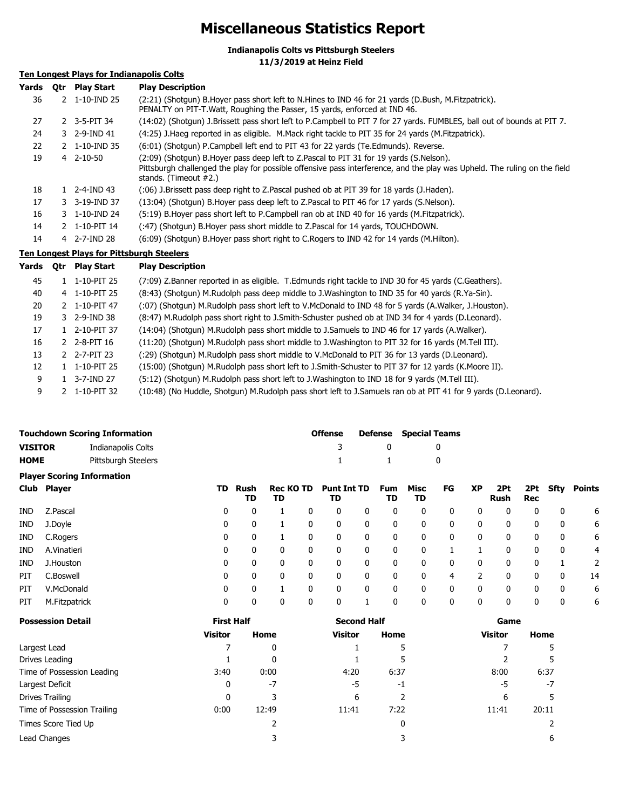## **Miscellaneous Statistics Report**

**Indianapolis Colts vs Pittsburgh Steelers**

**11/3/2019 at Heinz Field**

## **Ten Longest Plays for Indianapolis Colts**

| Yards | Otr | <b>Play Start</b>        | <b>Play Description</b>                                                                                                                                                                                                                         |
|-------|-----|--------------------------|-------------------------------------------------------------------------------------------------------------------------------------------------------------------------------------------------------------------------------------------------|
| 36    |     | 2 1-10-IND 25            | (2:21) (Shotgun) B.Hoyer pass short left to N.Hines to IND 46 for 21 yards (D.Bush, M.Fitzpatrick).<br>PENALTY on PIT-T. Watt, Roughing the Passer, 15 yards, enforced at IND 46.                                                               |
| 27    |     | 2 3-5-PIT 34             | (14:02) (Shotgun) J.Brissett pass short left to P.Campbell to PIT 7 for 27 yards. FUMBLES, ball out of bounds at PIT 7.                                                                                                                         |
| 24    |     | 3 2-9-IND 41             | (4:25) J. Haeg reported in as eligible. M. Mack right tackle to PIT 35 for 24 yards (M. Fitzpatrick).                                                                                                                                           |
| 22    |     | 2 1-10-IND 35            | (6:01) (Shotgun) P.Campbell left end to PIT 43 for 22 yards (Te.Edmunds). Reverse.                                                                                                                                                              |
| 19    |     | $4$ 2-10-50              | (2:09) (Shotgun) B.Hoyer pass deep left to Z.Pascal to PIT 31 for 19 yards (S.Nelson).<br>Pittsburgh challenged the play for possible offensive pass interference, and the play was Upheld. The ruling on the field<br>stands. (Timeout $#2$ .) |
| 18    |     | $1 \quad 2 - 4 - IND 43$ | (106) J.Brissett pass deep right to Z.Pascal pushed ob at PIT 39 for 18 yards (J.Haden).                                                                                                                                                        |
| 17    |     | 3 3-19-IND 37            | (13:04) (Shotqun) B.Hoyer pass deep left to Z.Pascal to PIT 46 for 17 yards (S.Nelson).                                                                                                                                                         |
| 16    |     | 3 1-10-IND 24            | (5:19) B. Hoyer pass short left to P. Campbell ran ob at IND 40 for 16 yards (M. Fitzpatrick).                                                                                                                                                  |
| 14    |     | 2 1-10-PIT 14            | (:47) (Shotqun) B. Hoyer pass short middle to Z. Pascal for 14 yards, TOUCHDOWN.                                                                                                                                                                |
| 14    |     | 4 2-7-IND 28             | (6:09) (Shotgun) B.Hoyer pass short right to C.Rogers to IND 42 for 14 yards (M.Hilton).                                                                                                                                                        |
|       |     |                          | <b>Ton Longost Diave for Ditteburgh Stoolars</b>                                                                                                                                                                                                |

#### **Ten Longest Plays for Pittsburgh Steelers**

| Yards | <b>Otr</b> | <b>Play Start</b> | <b>Play Description</b>                                                                                       |
|-------|------------|-------------------|---------------------------------------------------------------------------------------------------------------|
| 45    |            | 1-10-PIT 25       | (7:09) Z.Banner reported in as eligible. T.Edmunds right tackle to IND 30 for 45 yards (C.Geathers).          |
| 40    |            | 4 1-10-PIT 25     | (8.43) (Shotgun) M.Rudolph pass deep middle to J.Washington to IND 35 for 40 yards (R.Ya-Sin).                |
| 20    |            | 2 1-10-PIT 47     | (:07) (Shotgun) M.Rudolph pass short left to V.McDonald to IND 48 for 5 yards (A.Walker, J.Houston).          |
| 19    |            | 3 2-9-IND 38      | (8:47) M.Rudolph pass short right to J.Smith-Schuster pushed ob at IND 34 for 4 yards (D.Leonard).            |
| 17    |            | $1$ 2-10-PIT 37   | (14:04) (Shotgun) M.Rudolph pass short middle to J.Samuels to IND 46 for 17 yards (A.Walker).                 |
| 16    |            | 2 2-8-PIT 16      | (11:20) (Shotgun) M.Rudolph pass short middle to J.Washington to PIT 32 for 16 yards (M.Tell III).            |
| 13    |            | 2 2-7-PIT 23      | (:29) (Shotgun) M.Rudolph pass short middle to V.McDonald to PIT 36 for 13 yards (D.Leonard).                 |
| 12    |            | 1-10-PIT 25       | (15:00) (Shotgun) M.Rudolph pass short left to J.Smith-Schuster to PIT 37 for 12 yards (K.Moore II).          |
| 9     |            | 3-7-IND 27        | (5:12) (Shotgun) M.Rudolph pass short left to J.Washington to IND 18 for 9 yards (M.Tell III).                |
| 9     |            | 2 1-10-PIT 32     | (10:48) (No Huddle, Shotgun) M.Rudolph pass short left to J.Samuels ran ob at PIT 41 for 9 yards (D.Leonard). |

| <b>Touchdown Scoring Information</b> |               |                                   |                   |            |                        |   | <b>Offense</b>           |              | <b>Defense</b>   | <b>Special Teams</b> |              |              |                    |                   |             |               |
|--------------------------------------|---------------|-----------------------------------|-------------------|------------|------------------------|---|--------------------------|--------------|------------------|----------------------|--------------|--------------|--------------------|-------------------|-------------|---------------|
| <b>VISITOR</b>                       |               | Indianapolis Colts                |                   |            |                        |   | 3                        |              | 0                |                      | 0            |              |                    |                   |             |               |
| <b>HOME</b>                          |               | Pittsburgh Steelers               |                   |            |                        |   |                          |              |                  |                      | 0            |              |                    |                   |             |               |
|                                      |               | <b>Player Scoring Information</b> |                   |            |                        |   |                          |              |                  |                      |              |              |                    |                   |             |               |
| Club                                 | <b>Player</b> |                                   | TD                | Rush<br>TD | <b>Rec KO TD</b><br>TD |   | <b>Punt Int TD</b><br>TD |              | <b>Fum</b><br>TD | Misc<br>TD           | FG           | <b>XP</b>    | 2Pt<br><b>Rush</b> | 2Pt<br><b>Rec</b> | <b>Sfty</b> | <b>Points</b> |
| <b>IND</b>                           | Z.Pascal      |                                   | 0                 | 0          |                        | 0 | 0                        | 0            | 0                | 0                    | 0            | 0            | 0                  | 0                 | 0           | 6             |
| IND                                  | J.Doyle       |                                   | 0                 | 0          |                        | 0 | 0                        | 0            | 0                | 0                    | 0            | 0            | 0                  | 0                 | 0           | 6             |
| <b>IND</b>                           | C.Rogers      |                                   | 0                 | 0          |                        | 0 | 0                        | 0            | 0                | 0                    | 0            | $\mathbf{0}$ | 0                  | 0                 | 0           | 6             |
| <b>IND</b>                           | A.Vinatieri   |                                   | 0                 | 0          | 0                      | 0 | 0                        | 0            | 0                | 0                    |              |              | 0                  | 0                 | 0           | 4             |
| <b>IND</b>                           | J.Houston     |                                   | 0                 | 0          | $\mathbf{0}$           | 0 | 0                        | 0            | 0                | 0                    | 0            | $\mathbf{0}$ | 0                  | 0                 |             |               |
| PIT                                  | C.Boswell     |                                   | 0                 | 0          | 0                      | 0 | 0                        | 0            | 0                | 0                    | 4            |              | 0                  | 0                 | 0           | 14            |
| PIT                                  | V.McDonald    |                                   | 0                 | 0          |                        | 0 | 0                        | $\mathbf{0}$ | 0                | $\mathbf{0}$         | $\mathbf{0}$ | $\mathbf{0}$ | 0                  | $\mathbf 0$       | 0           | 6             |
| PIT                                  | M.Fitzpatrick |                                   | 0                 | 0          | 0                      | 0 | 0                        | 1            | 0                | 0                    | 0            | $\mathbf{0}$ | 0                  | 0                 | 0           | 6             |
| <b>Possession Detail</b>             |               |                                   | <b>First Half</b> |            |                        |   | <b>Second Half</b>       |              |                  |                      |              | Game         |                    |                   |             |               |

|                             | <b>Visitor</b> | Home  | <b>Visitor</b> | Home | <b>Visitor</b> | Home  |  |
|-----------------------------|----------------|-------|----------------|------|----------------|-------|--|
| Largest Lead                |                | 0     |                | כ    |                |       |  |
| Drives Leading              |                | 0     |                |      |                |       |  |
| Time of Possession Leading  | 3:40           | 0:00  | 4:20           | 6:37 | 8:00           | 6:37  |  |
| Largest Deficit             | 0              | $-7$  | -5             | -1   | -5             | -7    |  |
| Drives Trailing             | 0              |       | 6              |      | 6              |       |  |
| Time of Possession Trailing | 0:00           | 12:49 | 11:41          | 7:22 | 11:41          | 20:11 |  |
| Times Score Tied Up         |                |       |                | 0    |                |       |  |
| Lead Changes                |                |       |                |      |                | 6     |  |
|                             |                |       |                |      |                |       |  |